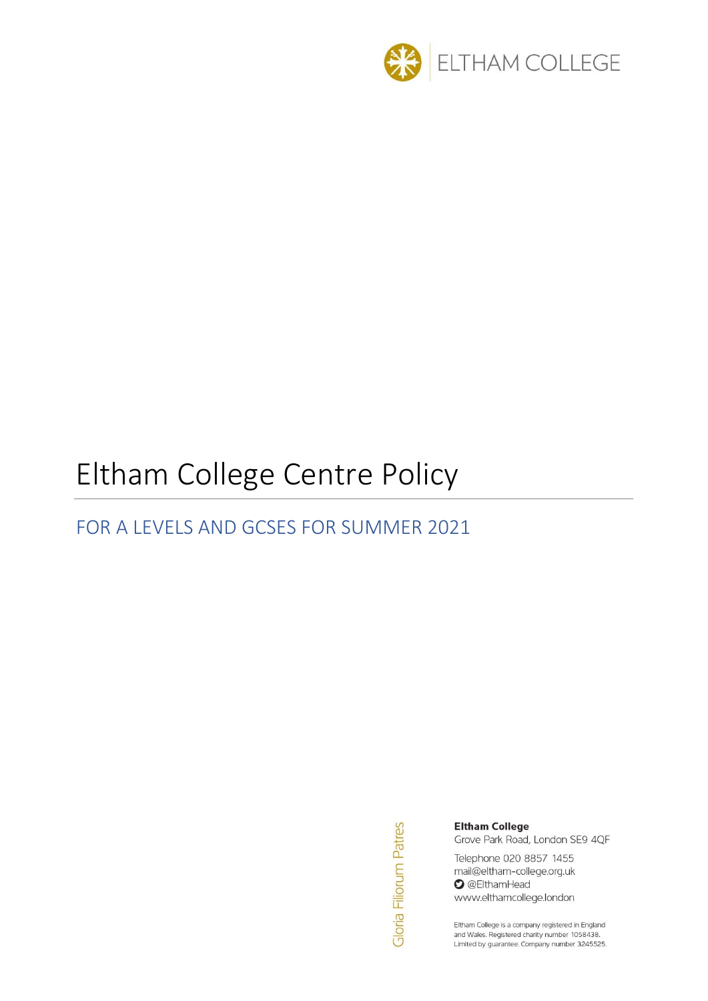

# Eltham College Centre Policy

# FOR A LEVELS AND GCSES FOR SUMMER 2021

Gloria Filiorum Patres

#### **Eltham College**

Grove Park Road, London SE9 4QF

Telephone 020 8857 1455 mail@eltham-college.org.uk **O** @ElthamHead www.elthamcollege.london

Eltham College is a company registered in England and Wales. Registered charity number 1058438. Limited by guarantee. Company number 3245525.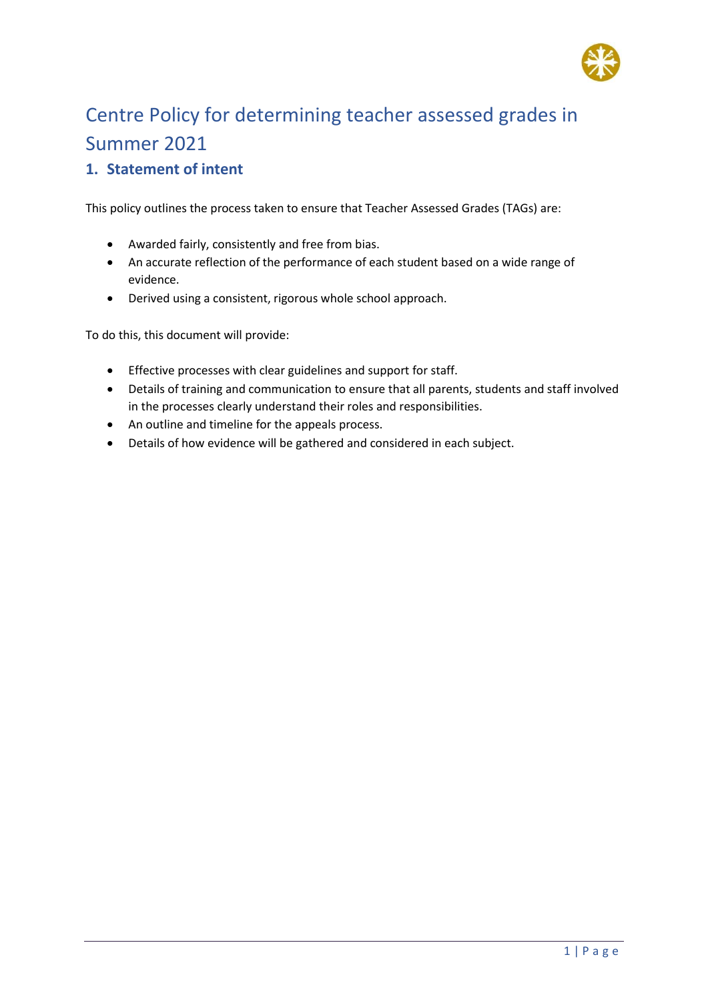

# Centre Policy for determining teacher assessed grades in Summer 2021

#### **1. Statement of intent**

This policy outlines the process taken to ensure that Teacher Assessed Grades (TAGs) are:

- Awarded fairly, consistently and free from bias.
- An accurate reflection of the performance of each student based on a wide range of evidence.
- Derived using a consistent, rigorous whole school approach.

To do this, this document will provide:

- Effective processes with clear guidelines and support for staff.
- Details of training and communication to ensure that all parents, students and staff involved in the processes clearly understand their roles and responsibilities.
- An outline and timeline for the appeals process.
- Details of how evidence will be gathered and considered in each subject.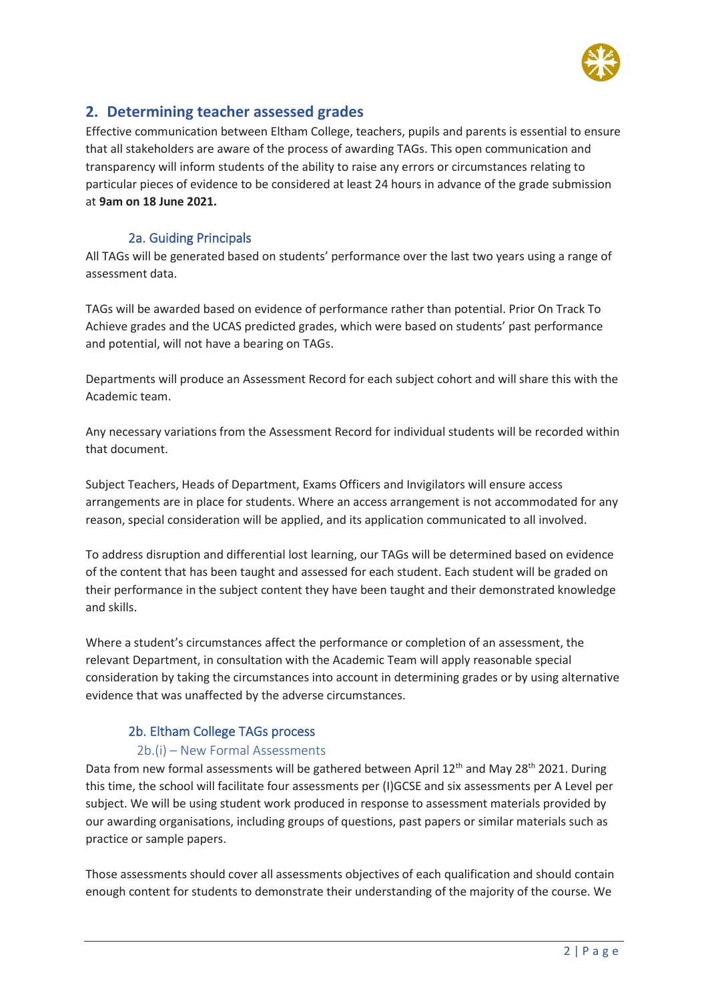

#### **2. Determining teacher assessed grades**

Effective communication between Eltham College, teachers, pupils and parents is essential to ensure that all stakeholders are aware of the process of awarding TAGs. This open communication and transparency will inform students of the ability to raise any errors or circumstances relating to particular pieces of evidence to be considered at least 24 hours in advance of the grade submission at **9am on 18 June 2021.**

#### 2a. Guiding Principals

All TAGs will be generated based on students' performance over the last two years using a range of assessment data.

TAGs will be awarded based on evidence of performance rather than potential. Prior On Track To Achieve grades and the UCAS predicted grades, which were based on students' past performance and potential, will not have a bearing on TAGs.

Departments will produce an Assessment Record for each subject cohort and will share this with the Academic team.

Any necessary variations from the Assessment Record for individual students will be recorded within that document.

Subject Teachers, Heads of Department, Exams Officers and Invigilators will ensure access arrangements are in place for students. Where an access arrangement is not accommodated for any reason, special consideration will be applied, and its application communicated to all involved.

To address disruption and differential lost learning, our TAGs will be determined based on evidence of the content that has been taught and assessed for each student. Each student will be graded on their performance in the subject content they have been taught and their demonstrated knowledge and skills.

Where a student's circumstances affect the performance or completion of an assessment, the relevant Department, in consultation with the Academic Team will apply reasonable special consideration by taking the circumstances into account in determining grades or by using alternative evidence that was unaffected by the adverse circumstances.

#### 2b. Eltham College TAGs process

#### 2b.(i) – New Formal Assessments

Data from new formal assessments will be gathered between April 12<sup>th</sup> and May 28<sup>th</sup> 2021. During this time, the school will facilitate four assessments per (I)GCSE and six assessments per A Level per subject. We will be using student work produced in response to assessment materials provided by our awarding organisations, including groups of questions, past papers or similar materials such as practice or sample papers.

Those assessments should cover all assessments objectives of each qualification and should contain enough content for students to demonstrate their understanding of the majority of the course. We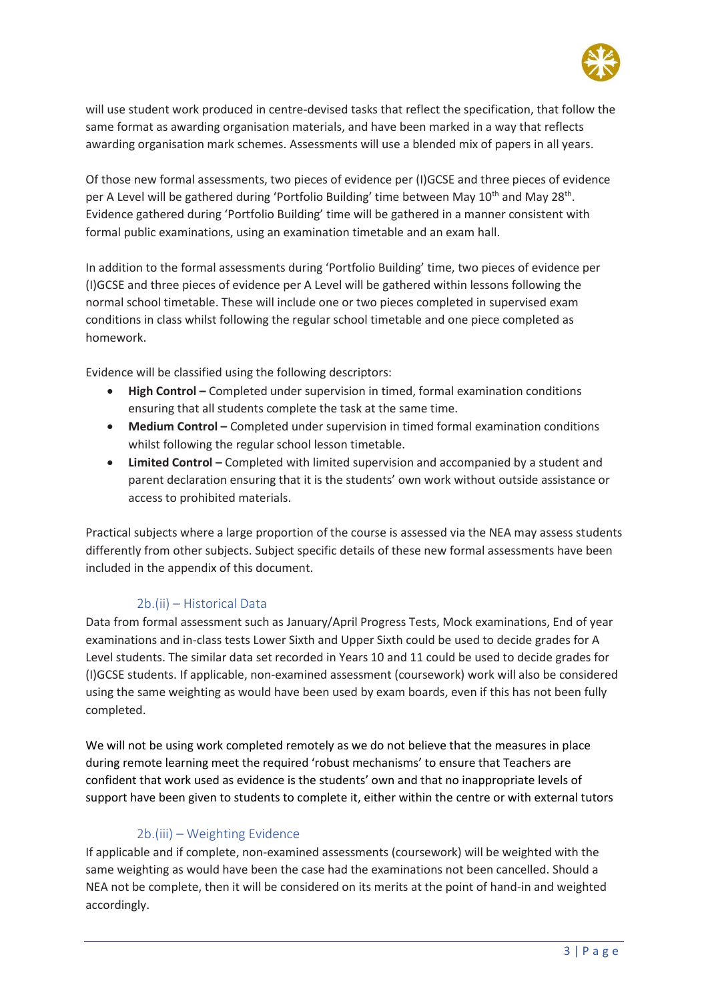

will use student work produced in centre-devised tasks that reflect the specification, that follow the same format as awarding organisation materials, and have been marked in a way that reflects awarding organisation mark schemes. Assessments will use a blended mix of papers in all years.

Of those new formal assessments, two pieces of evidence per (I)GCSE and three pieces of evidence per A Level will be gathered during 'Portfolio Building' time between May 10<sup>th</sup> and May 28<sup>th</sup>. Evidence gathered during 'Portfolio Building' time will be gathered in a manner consistent with formal public examinations, using an examination timetable and an exam hall.

In addition to the formal assessments during 'Portfolio Building' time, two pieces of evidence per (I)GCSE and three pieces of evidence per A Level will be gathered within lessons following the normal school timetable. These will include one or two pieces completed in supervised exam conditions in class whilst following the regular school timetable and one piece completed as homework.

Evidence will be classified using the following descriptors:

- **High Control –** Completed under supervision in timed, formal examination conditions ensuring that all students complete the task at the same time.
- **Medium Control** Completed under supervision in timed formal examination conditions whilst following the regular school lesson timetable.
- Limited Control Completed with limited supervision and accompanied by a student and parent declaration ensuring that it is the students' own work without outside assistance or access to prohibited materials.

Practical subjects where a large proportion of the course is assessed via the NEA may assess students differently from other subjects. Subject specific details of these new formal assessments have been included in the appendix of this document.

#### 2b.(ii) – Historical Data

Data from formal assessment such as January/April Progress Tests, Mock examinations, End of year examinations and in-class tests Lower Sixth and Upper Sixth could be used to decide grades for A Level students. The similar data set recorded in Years 10 and 11 could be used to decide grades for (I)GCSE students. If applicable, non-examined assessment (coursework) work will also be considered using the same weighting as would have been used by exam boards, even if this has not been fully completed.

We will not be using work completed remotely as we do not believe that the measures in place during remote learning meet the required 'robust mechanisms' to ensure that Teachers are confident that work used as evidence is the students' own and that no inappropriate levels of support have been given to students to complete it, either within the centre or with external tutors

#### 2b.(iii) – Weighting Evidence

If applicable and if complete, non-examined assessments (coursework) will be weighted with the same weighting as would have been the case had the examinations not been cancelled. Should a NEA not be complete, then it will be considered on its merits at the point of hand-in and weighted accordingly.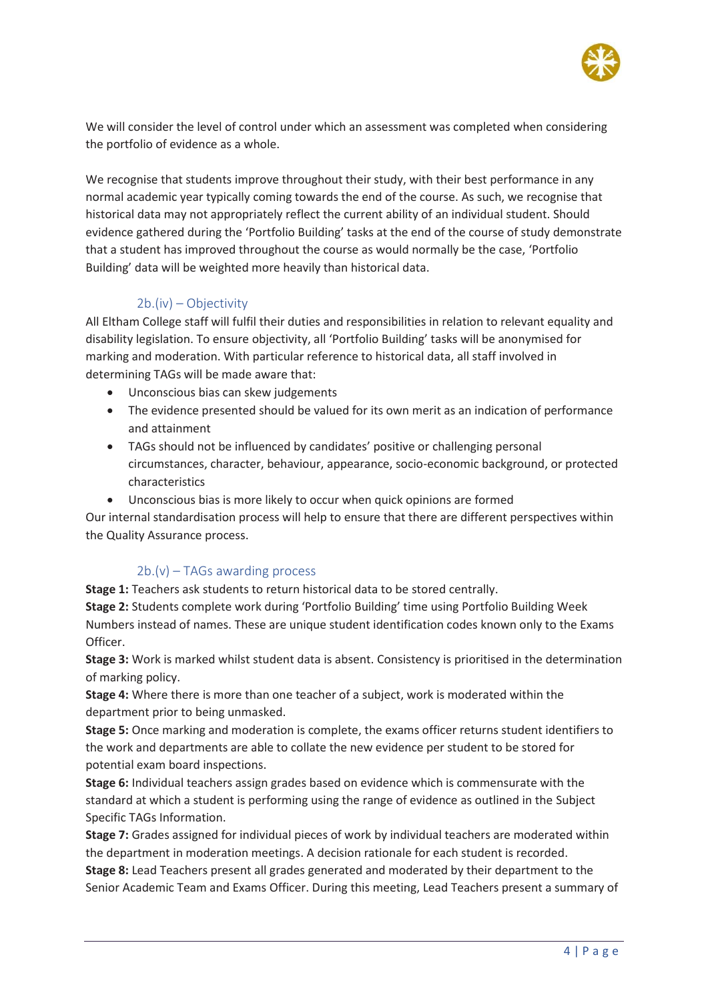

We will consider the level of control under which an assessment was completed when considering the portfolio of evidence as a whole.

We recognise that students improve throughout their study, with their best performance in any normal academic year typically coming towards the end of the course. As such, we recognise that historical data may not appropriately reflect the current ability of an individual student. Should evidence gathered during the 'Portfolio Building' tasks at the end of the course of study demonstrate that a student has improved throughout the course as would normally be the case, 'Portfolio Building' data will be weighted more heavily than historical data.

#### 2b.(iv) – Objectivity

All Eltham College staff will fulfil their duties and responsibilities in relation to relevant equality and disability legislation. To ensure objectivity, all 'Portfolio Building' tasks will be anonymised for marking and moderation. With particular reference to historical data, all staff involved in determining TAGs will be made aware that:

- Unconscious bias can skew judgements
- The evidence presented should be valued for its own merit as an indication of performance and attainment
- TAGs should not be influenced by candidates' positive or challenging personal circumstances, character, behaviour, appearance, socio-economic background, or protected characteristics
- Unconscious bias is more likely to occur when quick opinions are formed

Our internal standardisation process will help to ensure that there are different perspectives within the Quality Assurance process.

#### 2b.(v) – TAGs awarding process

**Stage 1:** Teachers ask students to return historical data to be stored centrally.

**Stage 2:** Students complete work during 'Portfolio Building' time using Portfolio Building Week Numbers instead of names. These are unique student identification codes known only to the Exams Officer.

**Stage 3:** Work is marked whilst student data is absent. Consistency is prioritised in the determination of marking policy.

**Stage 4:** Where there is more than one teacher of a subject, work is moderated within the department prior to being unmasked.

**Stage 5:** Once marking and moderation is complete, the exams officer returns student identifiers to the work and departments are able to collate the new evidence per student to be stored for potential exam board inspections.

**Stage 6:** Individual teachers assign grades based on evidence which is commensurate with the standard at which a student is performing using the range of evidence as outlined in the Subject Specific TAGs Information.

**Stage 7:** Grades assigned for individual pieces of work by individual teachers are moderated within the department in moderation meetings. A decision rationale for each student is recorded.

**Stage 8:** Lead Teachers present all grades generated and moderated by their department to the Senior Academic Team and Exams Officer. During this meeting, Lead Teachers present a summary of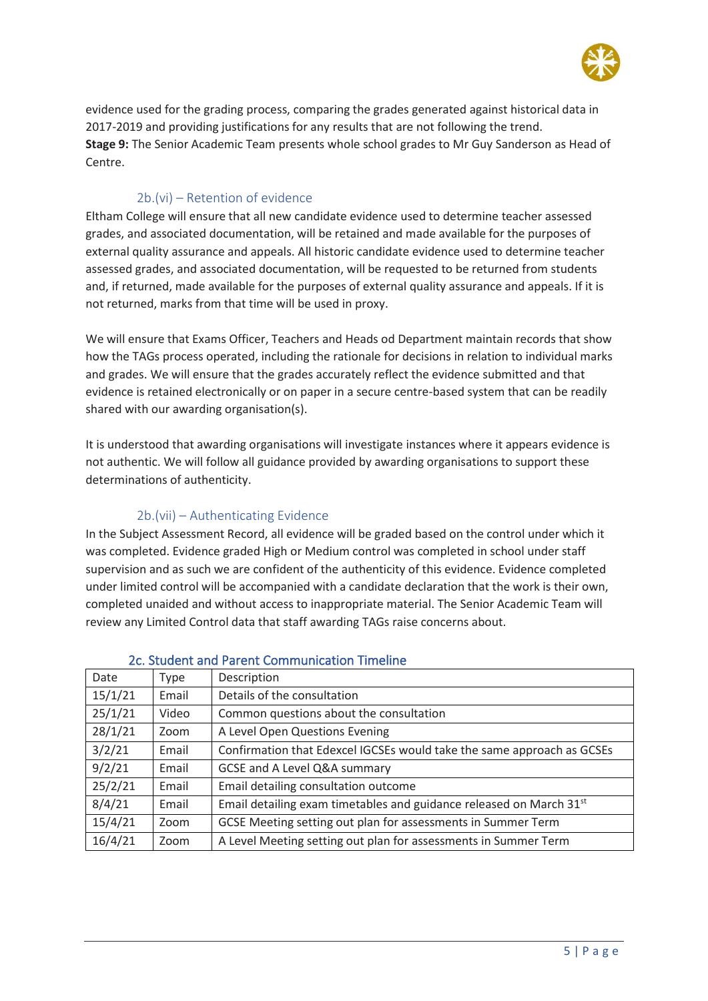

evidence used for the grading process, comparing the grades generated against historical data in 2017-2019 and providing justifications for any results that are not following the trend. **Stage 9:** The Senior Academic Team presents whole school grades to Mr Guy Sanderson as Head of Centre.

#### 2b.(vi) – Retention of evidence

Eltham College will ensure that all new candidate evidence used to determine teacher assessed grades, and associated documentation, will be retained and made available for the purposes of external quality assurance and appeals. All historic candidate evidence used to determine teacher assessed grades, and associated documentation, will be requested to be returned from students and, if returned, made available for the purposes of external quality assurance and appeals. If it is not returned, marks from that time will be used in proxy.

We will ensure that Exams Officer, Teachers and Heads od Department maintain records that show how the TAGs process operated, including the rationale for decisions in relation to individual marks and grades. We will ensure that the grades accurately reflect the evidence submitted and that evidence is retained electronically or on paper in a secure centre-based system that can be readily shared with our awarding organisation(s).

It is understood that awarding organisations will investigate instances where it appears evidence is not authentic. We will follow all guidance provided by awarding organisations to support these determinations of authenticity.

#### 2b.(vii) – Authenticating Evidence

In the Subject Assessment Record, all evidence will be graded based on the control under which it was completed. Evidence graded High or Medium control was completed in school under staff supervision and as such we are confident of the authenticity of this evidence. Evidence completed under limited control will be accompanied with a candidate declaration that the work is their own, completed unaided and without access to inappropriate material. The Senior Academic Team will review any Limited Control data that staff awarding TAGs raise concerns about.

| Date    | Type  | Description                                                                     |
|---------|-------|---------------------------------------------------------------------------------|
| 15/1/21 | Email | Details of the consultation                                                     |
| 25/1/21 | Video | Common questions about the consultation                                         |
| 28/1/21 | Zoom  | A Level Open Questions Evening                                                  |
| 3/2/21  | Email | Confirmation that Edexcel IGCSEs would take the same approach as GCSEs          |
| 9/2/21  | Email | GCSE and A Level Q&A summary                                                    |
| 25/2/21 | Email | Email detailing consultation outcome                                            |
| 8/4/21  | Email | Email detailing exam timetables and guidance released on March 31 <sup>st</sup> |
| 15/4/21 | Zoom  | GCSE Meeting setting out plan for assessments in Summer Term                    |
| 16/4/21 | Zoom  | A Level Meeting setting out plan for assessments in Summer Term                 |

#### 2c. Student and Parent Communication Timeline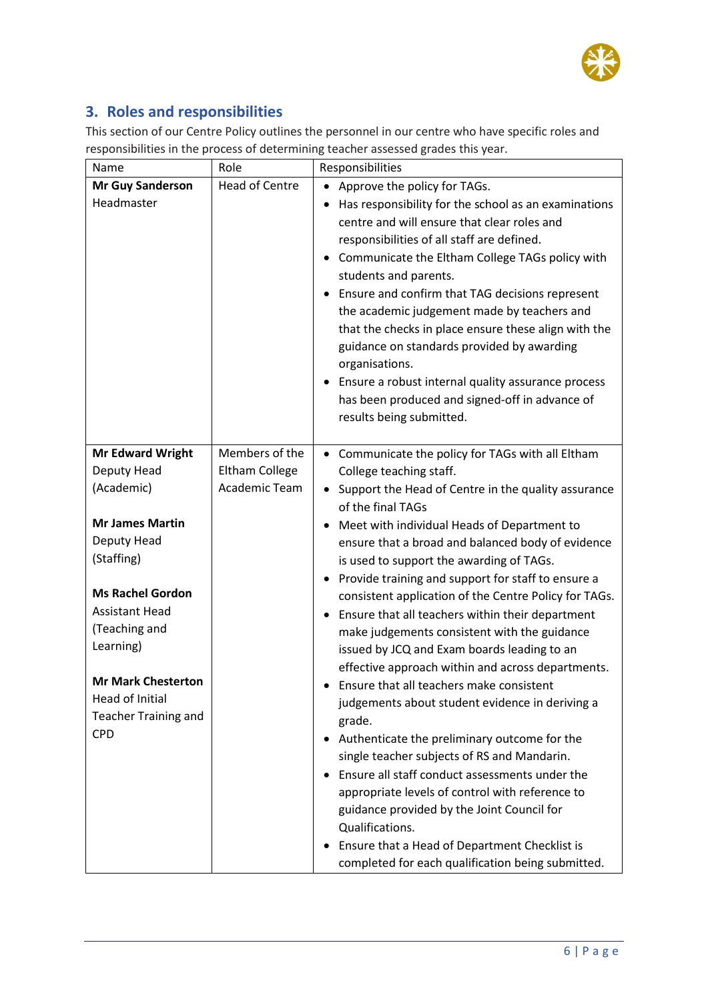

#### **3. Roles and responsibilities**

This section of our Centre Policy outlines the personnel in our centre who have specific roles and responsibilities in the process of determining teacher assessed grades this year.

| Name                        | Role                  | Responsibilities                                                                                                                                                                                                                                                                                                                                                                                                                                                                                                                                                                                      |
|-----------------------------|-----------------------|-------------------------------------------------------------------------------------------------------------------------------------------------------------------------------------------------------------------------------------------------------------------------------------------------------------------------------------------------------------------------------------------------------------------------------------------------------------------------------------------------------------------------------------------------------------------------------------------------------|
| <b>Mr Guy Sanderson</b>     | <b>Head of Centre</b> | Approve the policy for TAGs.                                                                                                                                                                                                                                                                                                                                                                                                                                                                                                                                                                          |
| Headmaster                  |                       | Has responsibility for the school as an examinations<br>٠<br>centre and will ensure that clear roles and<br>responsibilities of all staff are defined.<br>Communicate the Eltham College TAGs policy with<br>٠<br>students and parents.<br>Ensure and confirm that TAG decisions represent<br>the academic judgement made by teachers and<br>that the checks in place ensure these align with the<br>guidance on standards provided by awarding<br>organisations.<br>Ensure a robust internal quality assurance process<br>has been produced and signed-off in advance of<br>results being submitted. |
| <b>Mr Edward Wright</b>     | Members of the        | Communicate the policy for TAGs with all Eltham<br>$\bullet$                                                                                                                                                                                                                                                                                                                                                                                                                                                                                                                                          |
| Deputy Head                 | Eltham College        | College teaching staff.                                                                                                                                                                                                                                                                                                                                                                                                                                                                                                                                                                               |
| (Academic)                  | Academic Team         | Support the Head of Centre in the quality assurance<br>$\bullet$<br>of the final TAGs                                                                                                                                                                                                                                                                                                                                                                                                                                                                                                                 |
| <b>Mr James Martin</b>      |                       | Meet with individual Heads of Department to<br>٠                                                                                                                                                                                                                                                                                                                                                                                                                                                                                                                                                      |
| Deputy Head                 |                       | ensure that a broad and balanced body of evidence                                                                                                                                                                                                                                                                                                                                                                                                                                                                                                                                                     |
| (Staffing)                  |                       | is used to support the awarding of TAGs.                                                                                                                                                                                                                                                                                                                                                                                                                                                                                                                                                              |
| <b>Ms Rachel Gordon</b>     |                       | Provide training and support for staff to ensure a<br>٠                                                                                                                                                                                                                                                                                                                                                                                                                                                                                                                                               |
| <b>Assistant Head</b>       |                       | consistent application of the Centre Policy for TAGs.                                                                                                                                                                                                                                                                                                                                                                                                                                                                                                                                                 |
| (Teaching and               |                       | Ensure that all teachers within their department<br>٠                                                                                                                                                                                                                                                                                                                                                                                                                                                                                                                                                 |
| Learning)                   |                       | make judgements consistent with the guidance                                                                                                                                                                                                                                                                                                                                                                                                                                                                                                                                                          |
|                             |                       | issued by JCQ and Exam boards leading to an<br>effective approach within and across departments.                                                                                                                                                                                                                                                                                                                                                                                                                                                                                                      |
| <b>Mr Mark Chesterton</b>   |                       | Ensure that all teachers make consistent                                                                                                                                                                                                                                                                                                                                                                                                                                                                                                                                                              |
| <b>Head of Initial</b>      |                       | judgements about student evidence in deriving a                                                                                                                                                                                                                                                                                                                                                                                                                                                                                                                                                       |
| <b>Teacher Training and</b> |                       | grade.                                                                                                                                                                                                                                                                                                                                                                                                                                                                                                                                                                                                |
| <b>CPD</b>                  |                       | Authenticate the preliminary outcome for the                                                                                                                                                                                                                                                                                                                                                                                                                                                                                                                                                          |
|                             |                       | single teacher subjects of RS and Mandarin.                                                                                                                                                                                                                                                                                                                                                                                                                                                                                                                                                           |
|                             |                       | Ensure all staff conduct assessments under the                                                                                                                                                                                                                                                                                                                                                                                                                                                                                                                                                        |
|                             |                       | appropriate levels of control with reference to                                                                                                                                                                                                                                                                                                                                                                                                                                                                                                                                                       |
|                             |                       | guidance provided by the Joint Council for                                                                                                                                                                                                                                                                                                                                                                                                                                                                                                                                                            |
|                             |                       | Qualifications.                                                                                                                                                                                                                                                                                                                                                                                                                                                                                                                                                                                       |
|                             |                       | Ensure that a Head of Department Checklist is                                                                                                                                                                                                                                                                                                                                                                                                                                                                                                                                                         |
|                             |                       | completed for each qualification being submitted.                                                                                                                                                                                                                                                                                                                                                                                                                                                                                                                                                     |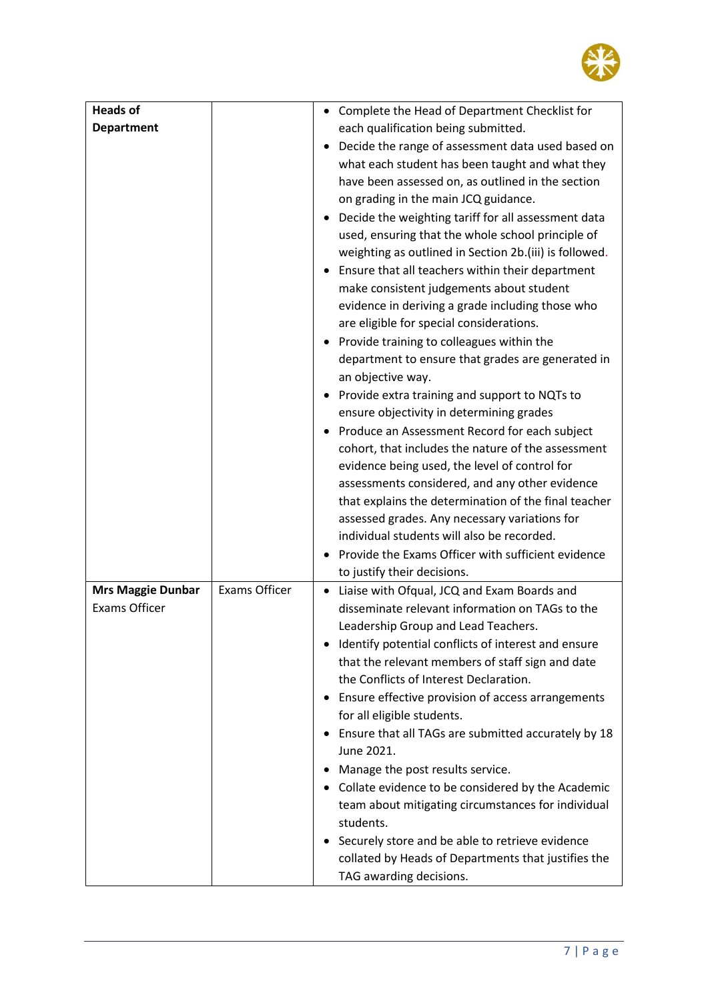

| <b>Heads of</b>                                  |                      | Complete the Head of Department Checklist for                                                                                                                                                                                                                                                                                                                                                                                                                                                                                                                                                                                                                                                                                                                                                                                                                                                                                                                                                                                                                                                                                                                                                                      |
|--------------------------------------------------|----------------------|--------------------------------------------------------------------------------------------------------------------------------------------------------------------------------------------------------------------------------------------------------------------------------------------------------------------------------------------------------------------------------------------------------------------------------------------------------------------------------------------------------------------------------------------------------------------------------------------------------------------------------------------------------------------------------------------------------------------------------------------------------------------------------------------------------------------------------------------------------------------------------------------------------------------------------------------------------------------------------------------------------------------------------------------------------------------------------------------------------------------------------------------------------------------------------------------------------------------|
| <b>Department</b>                                |                      | each qualification being submitted.                                                                                                                                                                                                                                                                                                                                                                                                                                                                                                                                                                                                                                                                                                                                                                                                                                                                                                                                                                                                                                                                                                                                                                                |
|                                                  |                      | Decide the range of assessment data used based on<br>what each student has been taught and what they<br>have been assessed on, as outlined in the section<br>on grading in the main JCQ guidance.<br>Decide the weighting tariff for all assessment data<br>used, ensuring that the whole school principle of<br>weighting as outlined in Section 2b.(iii) is followed.<br>Ensure that all teachers within their department<br>make consistent judgements about student<br>evidence in deriving a grade including those who<br>are eligible for special considerations.<br>Provide training to colleagues within the<br>department to ensure that grades are generated in<br>an objective way.<br>Provide extra training and support to NQTs to<br>ensure objectivity in determining grades<br>Produce an Assessment Record for each subject<br>cohort, that includes the nature of the assessment<br>evidence being used, the level of control for<br>assessments considered, and any other evidence<br>that explains the determination of the final teacher<br>assessed grades. Any necessary variations for<br>individual students will also be recorded.<br>Provide the Exams Officer with sufficient evidence |
|                                                  |                      | to justify their decisions.                                                                                                                                                                                                                                                                                                                                                                                                                                                                                                                                                                                                                                                                                                                                                                                                                                                                                                                                                                                                                                                                                                                                                                                        |
| <b>Mrs Maggie Dunbar</b><br><b>Exams Officer</b> | <b>Exams Officer</b> | Liaise with Ofqual, JCQ and Exam Boards and<br>$\bullet$<br>disseminate relevant information on TAGs to the<br>Leadership Group and Lead Teachers.<br>• Identify potential conflicts of interest and ensure<br>that the relevant members of staff sign and date<br>the Conflicts of Interest Declaration.<br>Ensure effective provision of access arrangements<br>٠<br>for all eligible students.<br>Ensure that all TAGs are submitted accurately by 18<br>$\bullet$<br>June 2021.<br>Manage the post results service.<br>Collate evidence to be considered by the Academic<br>٠<br>team about mitigating circumstances for individual<br>students.<br>Securely store and be able to retrieve evidence<br>collated by Heads of Departments that justifies the<br>TAG awarding decisions.                                                                                                                                                                                                                                                                                                                                                                                                                          |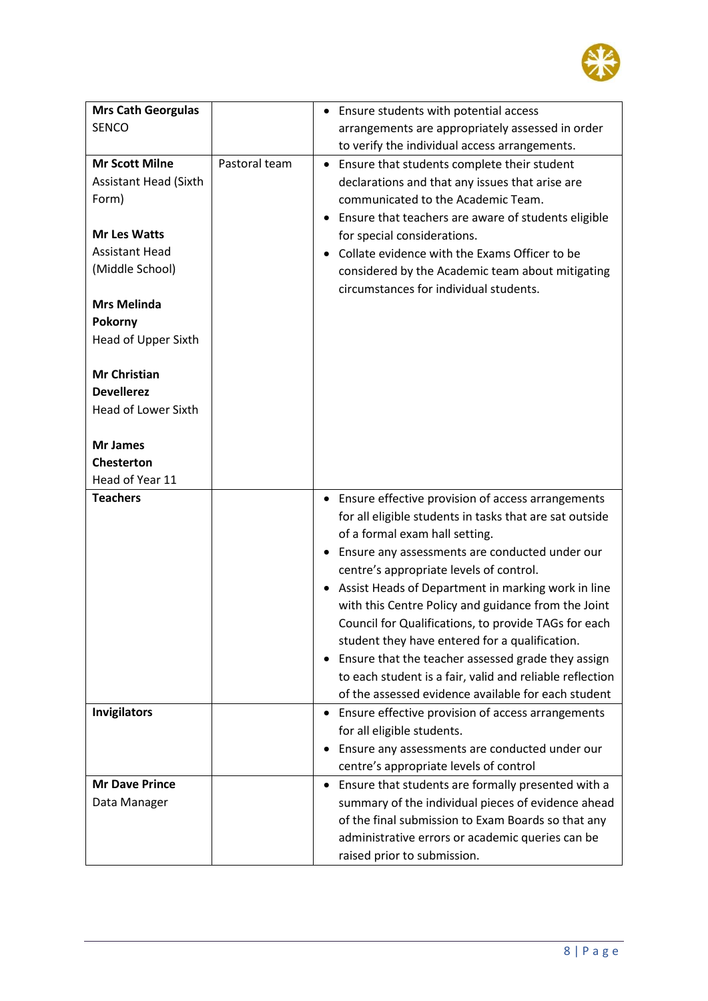

| <b>Mrs Cath Georgulas</b>    |               | • Ensure students with potential access                         |
|------------------------------|---------------|-----------------------------------------------------------------|
| <b>SENCO</b>                 |               | arrangements are appropriately assessed in order                |
|                              |               | to verify the individual access arrangements.                   |
| <b>Mr Scott Milne</b>        | Pastoral team | Ensure that students complete their student<br>$\bullet$        |
| <b>Assistant Head (Sixth</b> |               | declarations and that any issues that arise are                 |
| Form)                        |               | communicated to the Academic Team.                              |
|                              |               | • Ensure that teachers are aware of students eligible           |
| <b>Mr Les Watts</b>          |               | for special considerations.                                     |
| <b>Assistant Head</b>        |               | Collate evidence with the Exams Officer to be                   |
| (Middle School)              |               | considered by the Academic team about mitigating                |
| <b>Mrs Melinda</b>           |               | circumstances for individual students.                          |
|                              |               |                                                                 |
| Pokorny                      |               |                                                                 |
| Head of Upper Sixth          |               |                                                                 |
| <b>Mr Christian</b>          |               |                                                                 |
| <b>Devellerez</b>            |               |                                                                 |
| <b>Head of Lower Sixth</b>   |               |                                                                 |
|                              |               |                                                                 |
| <b>Mr James</b>              |               |                                                                 |
| <b>Chesterton</b>            |               |                                                                 |
| Head of Year 11              |               |                                                                 |
| <b>Teachers</b>              |               | Ensure effective provision of access arrangements<br>$\bullet$  |
|                              |               | for all eligible students in tasks that are sat outside         |
|                              |               | of a formal exam hall setting.                                  |
|                              |               | Ensure any assessments are conducted under our<br>$\bullet$     |
|                              |               | centre's appropriate levels of control.                         |
|                              |               | Assist Heads of Department in marking work in line<br>$\bullet$ |
|                              |               | with this Centre Policy and guidance from the Joint             |
|                              |               | Council for Qualifications, to provide TAGs for each            |
|                              |               | student they have entered for a qualification.                  |
|                              |               | Ensure that the teacher assessed grade they assign<br>$\bullet$ |
|                              |               | to each student is a fair, valid and reliable reflection        |
|                              |               | of the assessed evidence available for each student             |
| <b>Invigilators</b>          |               | Ensure effective provision of access arrangements               |
|                              |               | for all eligible students.                                      |
|                              |               | Ensure any assessments are conducted under our<br>٠             |
|                              |               | centre's appropriate levels of control                          |
| <b>Mr Dave Prince</b>        |               | Ensure that students are formally presented with a<br>$\bullet$ |
| Data Manager                 |               | summary of the individual pieces of evidence ahead              |
|                              |               | of the final submission to Exam Boards so that any              |
|                              |               | administrative errors or academic queries can be                |
|                              |               |                                                                 |
|                              |               | raised prior to submission.                                     |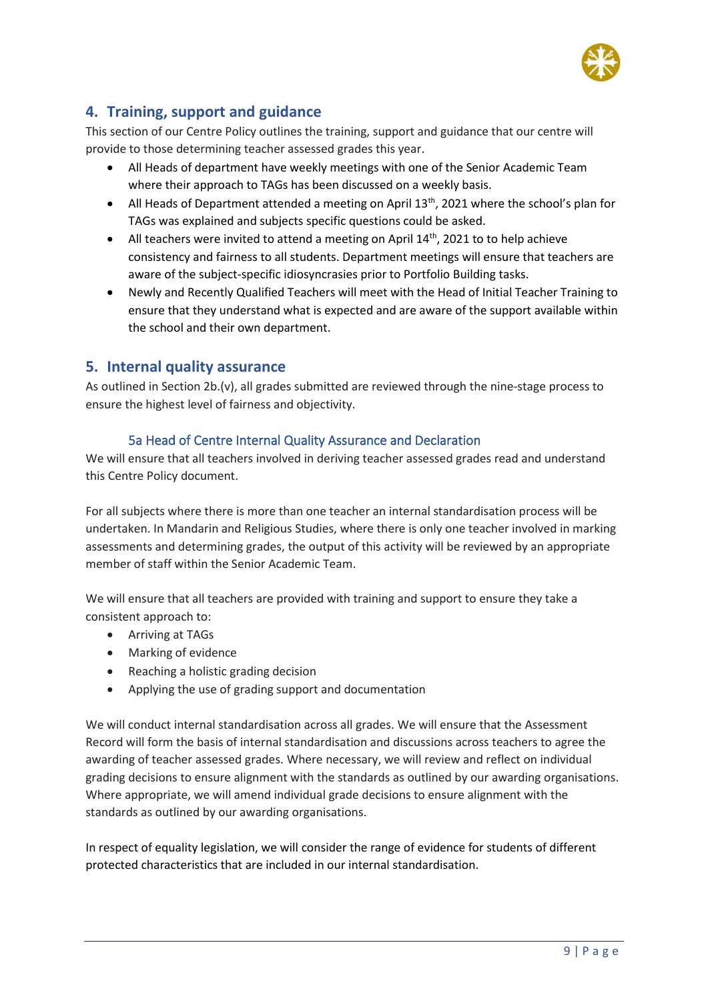

#### **4. Training, support and guidance**

This section of our Centre Policy outlines the training, support and guidance that our centre will provide to those determining teacher assessed grades this year.

- All Heads of department have weekly meetings with one of the Senior Academic Team where their approach to TAGs has been discussed on a weekly basis.
- All Heads of Department attended a meeting on April  $13<sup>th</sup>$ , 2021 where the school's plan for TAGs was explained and subjects specific questions could be asked.
- All teachers were invited to attend a meeting on April  $14<sup>th</sup>$ , 2021 to to help achieve consistency and fairness to all students. Department meetings will ensure that teachers are aware of the subject-specific idiosyncrasies prior to Portfolio Building tasks.
- Newly and Recently Qualified Teachers will meet with the Head of Initial Teacher Training to ensure that they understand what is expected and are aware of the support available within the school and their own department.

#### **5. Internal quality assurance**

As outlined in Section 2b.(v), all grades submitted are reviewed through the nine-stage process to ensure the highest level of fairness and objectivity.

#### 5a Head of Centre Internal Quality Assurance and Declaration

We will ensure that all teachers involved in deriving teacher assessed grades read and understand this Centre Policy document.

For all subjects where there is more than one teacher an internal standardisation process will be undertaken. In Mandarin and Religious Studies, where there is only one teacher involved in marking assessments and determining grades, the output of this activity will be reviewed by an appropriate member of staff within the Senior Academic Team.

We will ensure that all teachers are provided with training and support to ensure they take a consistent approach to:

- Arriving at TAGs
- Marking of evidence
- Reaching a holistic grading decision
- Applying the use of grading support and documentation

We will conduct internal standardisation across all grades. We will ensure that the Assessment Record will form the basis of internal standardisation and discussions across teachers to agree the awarding of teacher assessed grades. Where necessary, we will review and reflect on individual grading decisions to ensure alignment with the standards as outlined by our awarding organisations. Where appropriate, we will amend individual grade decisions to ensure alignment with the standards as outlined by our awarding organisations.

In respect of equality legislation, we will consider the range of evidence for students of different protected characteristics that are included in our internal standardisation.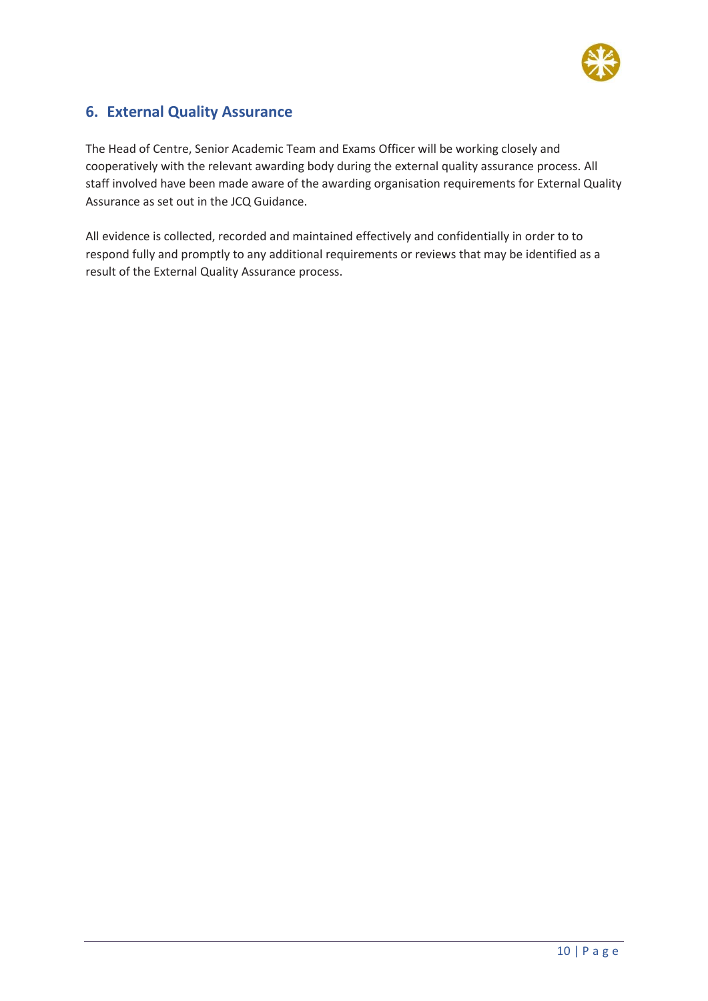

#### **6. External Quality Assurance**

The Head of Centre, Senior Academic Team and Exams Officer will be working closely and cooperatively with the relevant awarding body during the external quality assurance process. All staff involved have been made aware of the awarding organisation requirements for External Quality Assurance as set out in the JCQ Guidance.

All evidence is collected, recorded and maintained effectively and confidentially in order to to respond fully and promptly to any additional requirements or reviews that may be identified as a result of the External Quality Assurance process.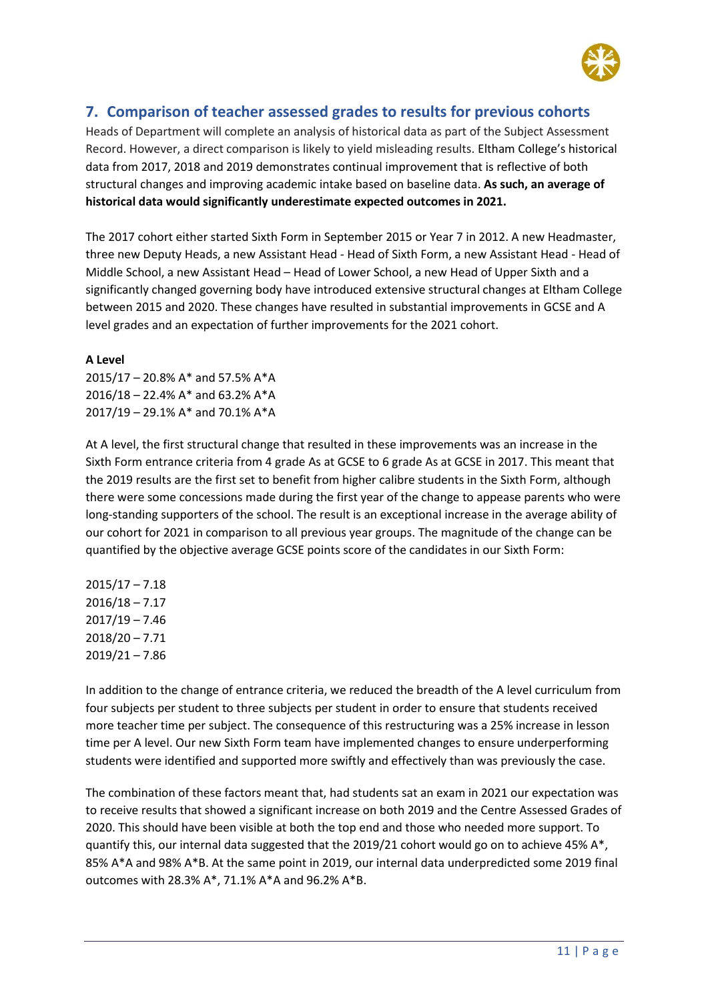

#### **7. Comparison of teacher assessed grades to results for previous cohorts**

Heads of Department will complete an analysis of historical data as part of the Subject Assessment Record. However, a direct comparison is likely to yield misleading results. Eltham College's historical data from 2017, 2018 and 2019 demonstrates continual improvement that is reflective of both structural changes and improving academic intake based on baseline data. **As such, an average of historical data would significantly underestimate expected outcomes in 2021.**

The 2017 cohort either started Sixth Form in September 2015 or Year 7 in 2012. A new Headmaster, three new Deputy Heads, a new Assistant Head - Head of Sixth Form, a new Assistant Head - Head of Middle School, a new Assistant Head – Head of Lower School, a new Head of Upper Sixth and a significantly changed governing body have introduced extensive structural changes at Eltham College between 2015 and 2020. These changes have resulted in substantial improvements in GCSE and A level grades and an expectation of further improvements for the 2021 cohort.

#### **A Level**

2015/17 – 20.8% A\* and 57.5% A\*A 2016/18 – 22.4% A\* and 63.2% A\*A 2017/19 – 29.1% A\* and 70.1% A\*A

At A level, the first structural change that resulted in these improvements was an increase in the Sixth Form entrance criteria from 4 grade As at GCSE to 6 grade As at GCSE in 2017. This meant that the 2019 results are the first set to benefit from higher calibre students in the Sixth Form, although there were some concessions made during the first year of the change to appease parents who were long-standing supporters of the school. The result is an exceptional increase in the average ability of our cohort for 2021 in comparison to all previous year groups. The magnitude of the change can be quantified by the objective average GCSE points score of the candidates in our Sixth Form:

 $2015/17 - 7.18$ 2016/18 – 7.17 2017/19 – 7.46 2018/20 – 7.71 2019/21 – 7.86

In addition to the change of entrance criteria, we reduced the breadth of the A level curriculum from four subjects per student to three subjects per student in order to ensure that students received more teacher time per subject. The consequence of this restructuring was a 25% increase in lesson time per A level. Our new Sixth Form team have implemented changes to ensure underperforming students were identified and supported more swiftly and effectively than was previously the case.

The combination of these factors meant that, had students sat an exam in 2021 our expectation was to receive results that showed a significant increase on both 2019 and the Centre Assessed Grades of 2020. This should have been visible at both the top end and those who needed more support. To quantify this, our internal data suggested that the 2019/21 cohort would go on to achieve 45% A\*, 85% A\*A and 98% A\*B. At the same point in 2019, our internal data underpredicted some 2019 final outcomes with 28.3% A\*, 71.1% A\*A and 96.2% A\*B.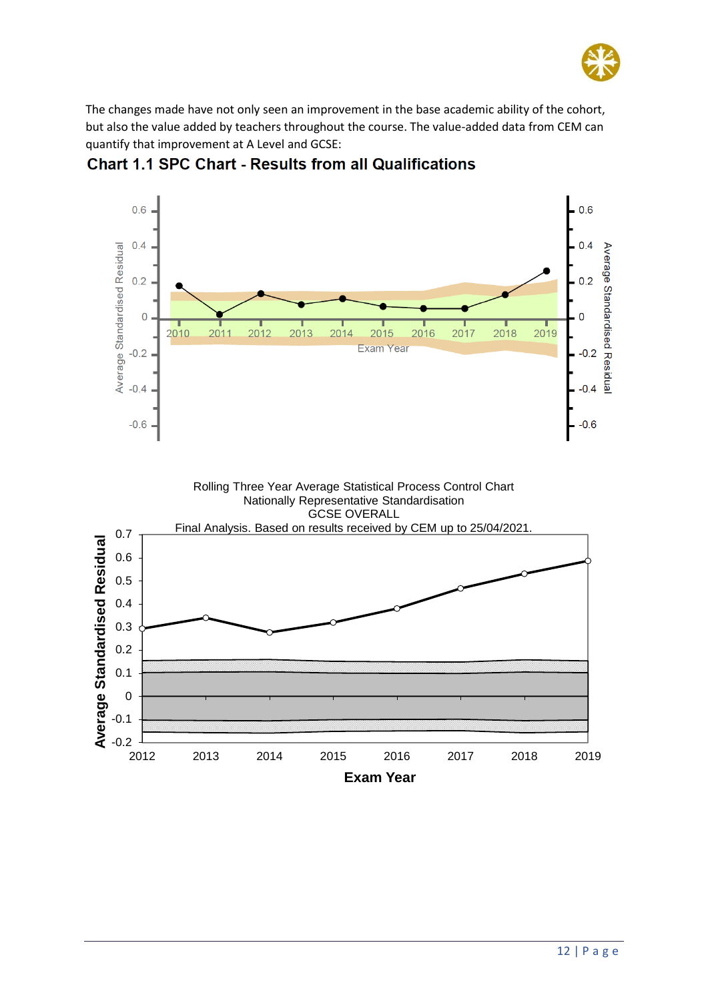

The changes made have not only seen an improvement in the base academic ability of the cohort, but also the value added by teachers throughout the course. The value-added data from CEM can quantify that improvement at A Level and GCSE:



**Chart 1.1 SPC Chart - Results from all Qualifications**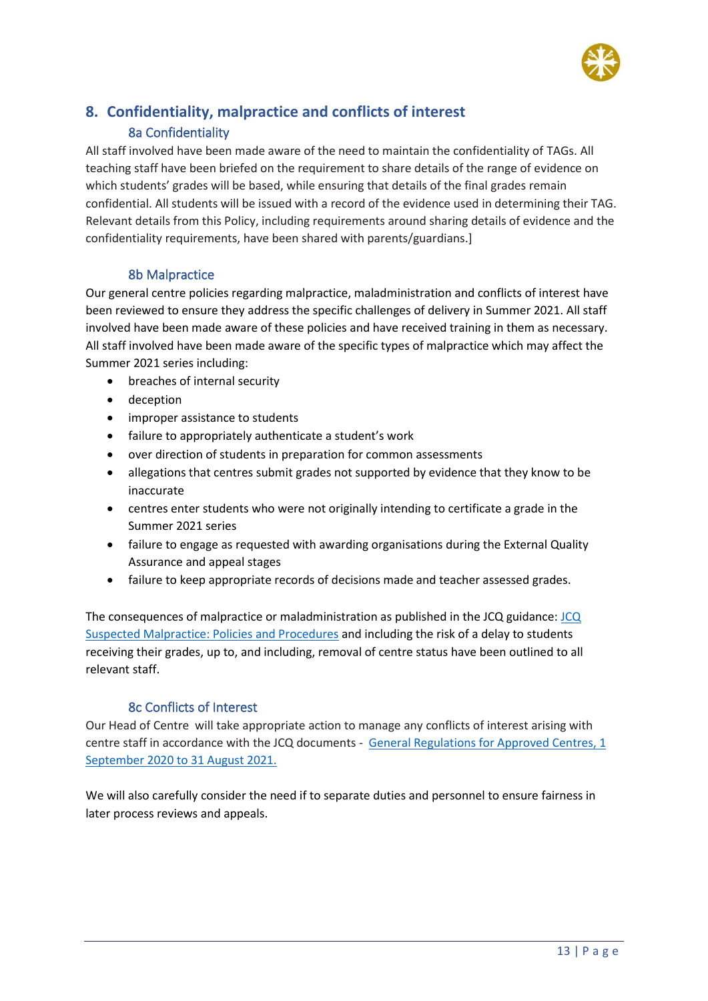

#### **8. Confidentiality, malpractice and conflicts of interest** 8a Confidentiality

All staff involved have been made aware of the need to maintain the confidentiality of TAGs. All teaching staff have been briefed on the requirement to share details of the range of evidence on which students' grades will be based, while ensuring that details of the final grades remain confidential. All students will be issued with a record of the evidence used in determining their TAG. Relevant details from this Policy, including requirements around sharing details of evidence and the confidentiality requirements, have been shared with parents/guardians.]

#### 8b Malpractice

Our general centre policies regarding malpractice, maladministration and conflicts of interest have been reviewed to ensure they address the specific challenges of delivery in Summer 2021. All staff involved have been made aware of these policies and have received training in them as necessary. All staff involved have been made aware of the specific types of malpractice which may affect the Summer 2021 series including:

- breaches of internal security
- deception
- improper assistance to students
- failure to appropriately authenticate a student's work
- over direction of students in preparation for common assessments
- allegations that centres submit grades not supported by evidence that they know to be inaccurate
- centres enter students who were not originally intending to certificate a grade in the Summer 2021 series
- failure to engage as requested with awarding organisations during the External Quality Assurance and appeal stages
- failure to keep appropriate records of decisions made and teacher assessed grades.

The consequences of malpractice or maladministration as published in the JCQ guidance: [JCQ](https://www.jcq.org.uk/exams-office/malpractice/)  [Suspected Malpractice: Policies and Procedures](https://www.jcq.org.uk/exams-office/malpractice/) and including the risk of a delay to students receiving their grades, up to, and including, removal of centre status have been outlined to all relevant staff.

#### 8c Conflicts of Interest

Our Head of Centre will take appropriate action to manage any conflicts of interest arising with centre staff in accordance with the JCQ documents - [General Regulations for Approved Centres, 1](https://www.jcq.org.uk/wp-content/uploads/2020/09/Gen_regs_approved_centres_20-21_FINAL.pdf)  [September 2020 to 31 August 2021.](https://www.jcq.org.uk/wp-content/uploads/2020/09/Gen_regs_approved_centres_20-21_FINAL.pdf)

We will also carefully consider the need if to separate duties and personnel to ensure fairness in later process reviews and appeals.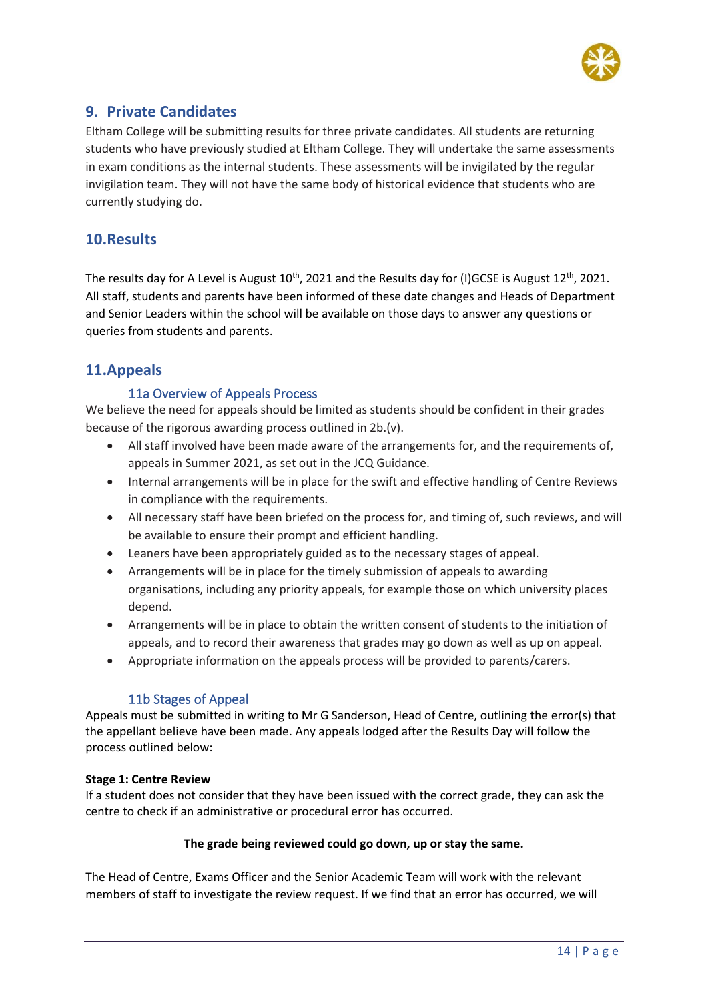

#### **9. Private Candidates**

Eltham College will be submitting results for three private candidates. All students are returning students who have previously studied at Eltham College. They will undertake the same assessments in exam conditions as the internal students. These assessments will be invigilated by the regular invigilation team. They will not have the same body of historical evidence that students who are currently studying do.

#### **10.Results**

The results day for A Level is August  $10^{th}$ , 2021 and the Results day for (I)GCSE is August  $12^{th}$ , 2021. All staff, students and parents have been informed of these date changes and Heads of Department and Senior Leaders within the school will be available on those days to answer any questions or queries from students and parents.

#### **11.Appeals**

#### 11a Overview of Appeals Process

We believe the need for appeals should be limited as students should be confident in their grades because of the rigorous awarding process outlined in 2b.(v).

- All staff involved have been made aware of the arrangements for, and the requirements of, appeals in Summer 2021, as set out in the JCQ Guidance.
- Internal arrangements will be in place for the swift and effective handling of Centre Reviews in compliance with the requirements.
- All necessary staff have been briefed on the process for, and timing of, such reviews, and will be available to ensure their prompt and efficient handling.
- Leaners have been appropriately guided as to the necessary stages of appeal.
- Arrangements will be in place for the timely submission of appeals to awarding organisations, including any priority appeals, for example those on which university places depend.
- Arrangements will be in place to obtain the written consent of students to the initiation of appeals, and to record their awareness that grades may go down as well as up on appeal.
- Appropriate information on the appeals process will be provided to parents/carers.

#### 11b Stages of Appeal

Appeals must be submitted in writing to Mr G Sanderson, Head of Centre, outlining the error(s) that the appellant believe have been made. Any appeals lodged after the Results Day will follow the process outlined below:

#### **Stage 1: Centre Review**

If a student does not consider that they have been issued with the correct grade, they can ask the centre to check if an administrative or procedural error has occurred.

#### **The grade being reviewed could go down, up or stay the same.**

The Head of Centre, Exams Officer and the Senior Academic Team will work with the relevant members of staff to investigate the review request. If we find that an error has occurred, we will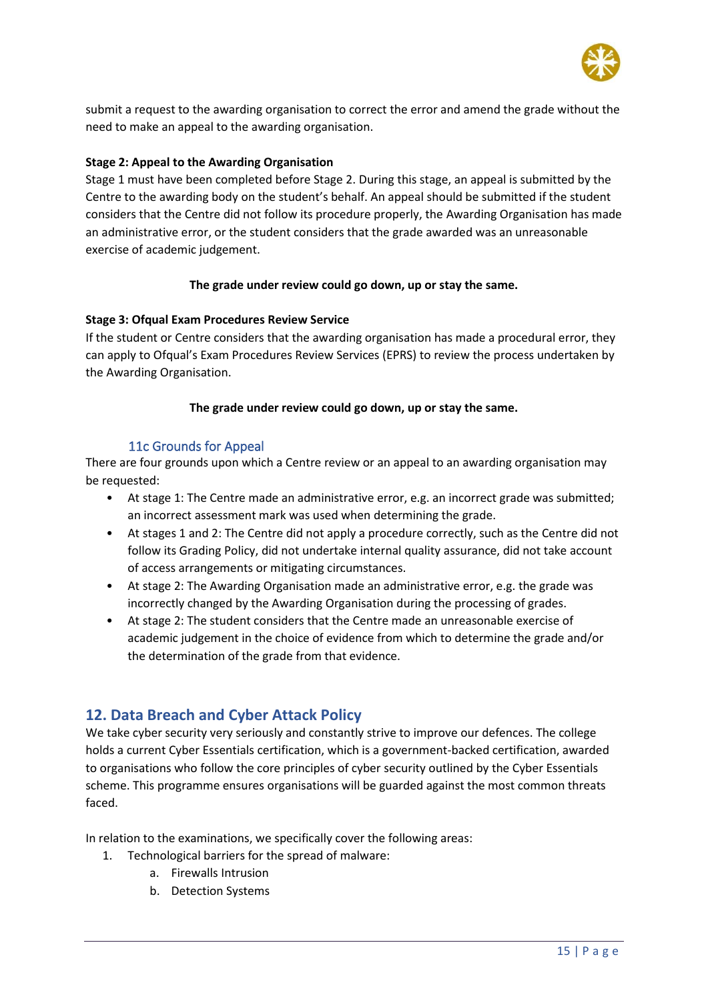

submit a request to the awarding organisation to correct the error and amend the grade without the need to make an appeal to the awarding organisation.

#### **Stage 2: Appeal to the Awarding Organisation**

Stage 1 must have been completed before Stage 2. During this stage, an appeal is submitted by the Centre to the awarding body on the student's behalf. An appeal should be submitted if the student considers that the Centre did not follow its procedure properly, the Awarding Organisation has made an administrative error, or the student considers that the grade awarded was an unreasonable exercise of academic judgement.

#### **The grade under review could go down, up or stay the same.**

#### **Stage 3: Ofqual Exam Procedures Review Service**

If the student or Centre considers that the awarding organisation has made a procedural error, they can apply to Ofqual's Exam Procedures Review Services (EPRS) to review the process undertaken by the Awarding Organisation.

#### **The grade under review could go down, up or stay the same.**

#### 11c Grounds for Appeal

There are four grounds upon which a Centre review or an appeal to an awarding organisation may be requested:

- At stage 1: The Centre made an administrative error, e.g. an incorrect grade was submitted; an incorrect assessment mark was used when determining the grade.
- At stages 1 and 2: The Centre did not apply a procedure correctly, such as the Centre did not follow its Grading Policy, did not undertake internal quality assurance, did not take account of access arrangements or mitigating circumstances.
- At stage 2: The Awarding Organisation made an administrative error, e.g. the grade was incorrectly changed by the Awarding Organisation during the processing of grades.
- At stage 2: The student considers that the Centre made an unreasonable exercise of academic judgement in the choice of evidence from which to determine the grade and/or the determination of the grade from that evidence.

#### **12. Data Breach and Cyber Attack Policy**

We take cyber security very seriously and constantly strive to improve our defences. The college holds a current Cyber Essentials certification, which is a government-backed certification, awarded to organisations who follow the core principles of cyber security outlined by the Cyber Essentials scheme. This programme ensures organisations will be guarded against the most common threats faced.

In relation to the examinations, we specifically cover the following areas:

- 1. Technological barriers for the spread of malware:
	- a. Firewalls Intrusion
	- b. Detection Systems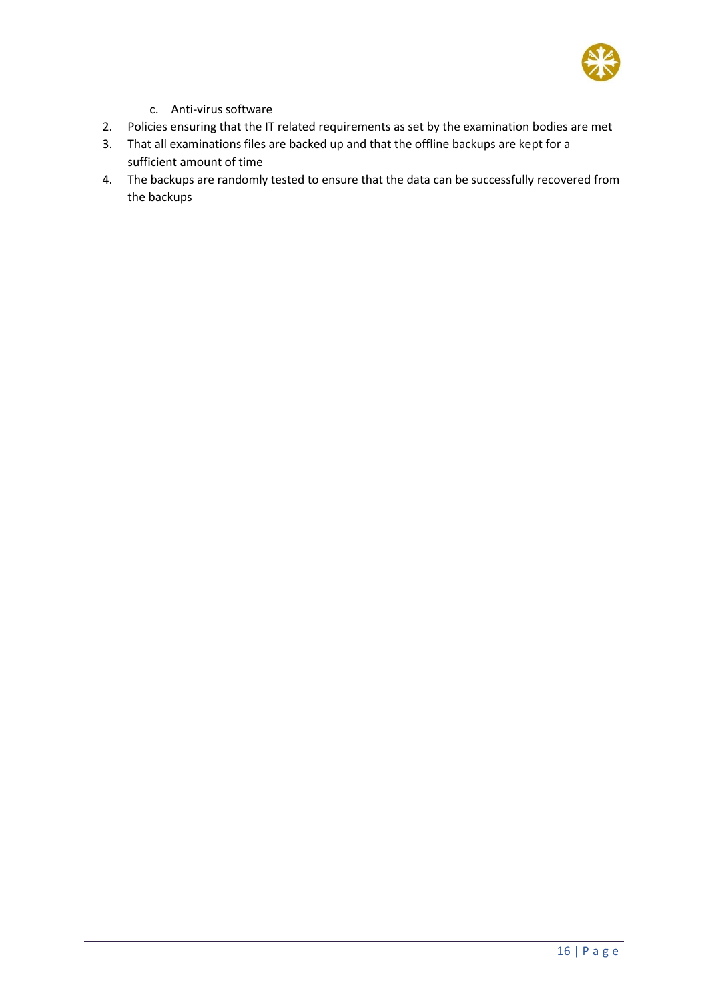

- c. Anti-virus software
- 2. Policies ensuring that the IT related requirements as set by the examination bodies are met
- 3. That all examinations files are backed up and that the offline backups are kept for a sufficient amount of time
- 4. The backups are randomly tested to ensure that the data can be successfully recovered from the backups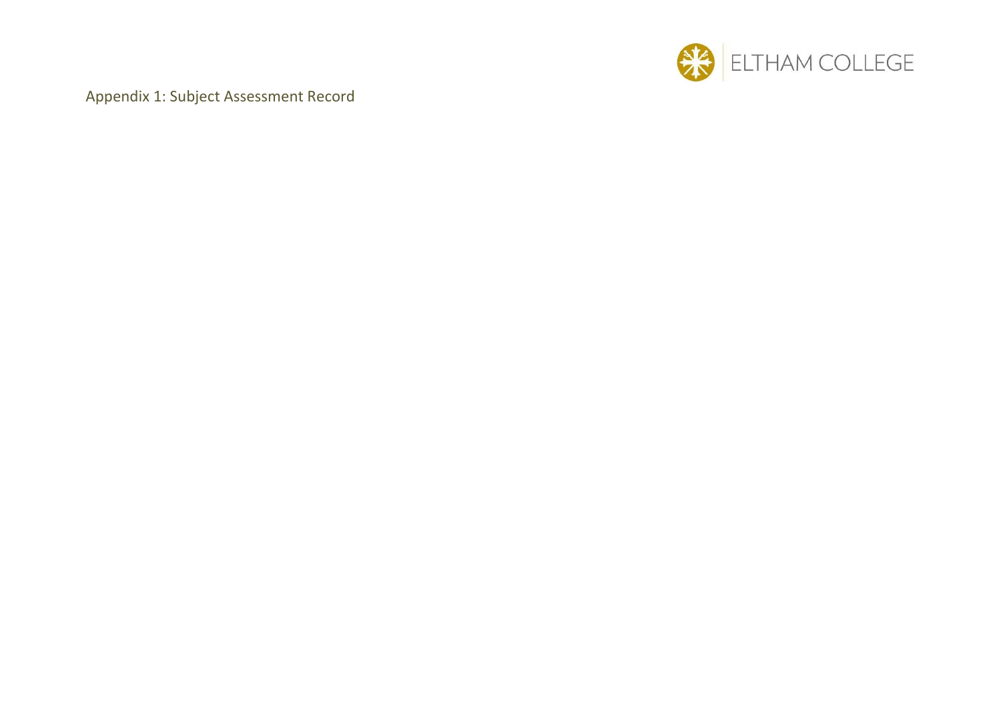

Appendix 1: Subject Assessment Record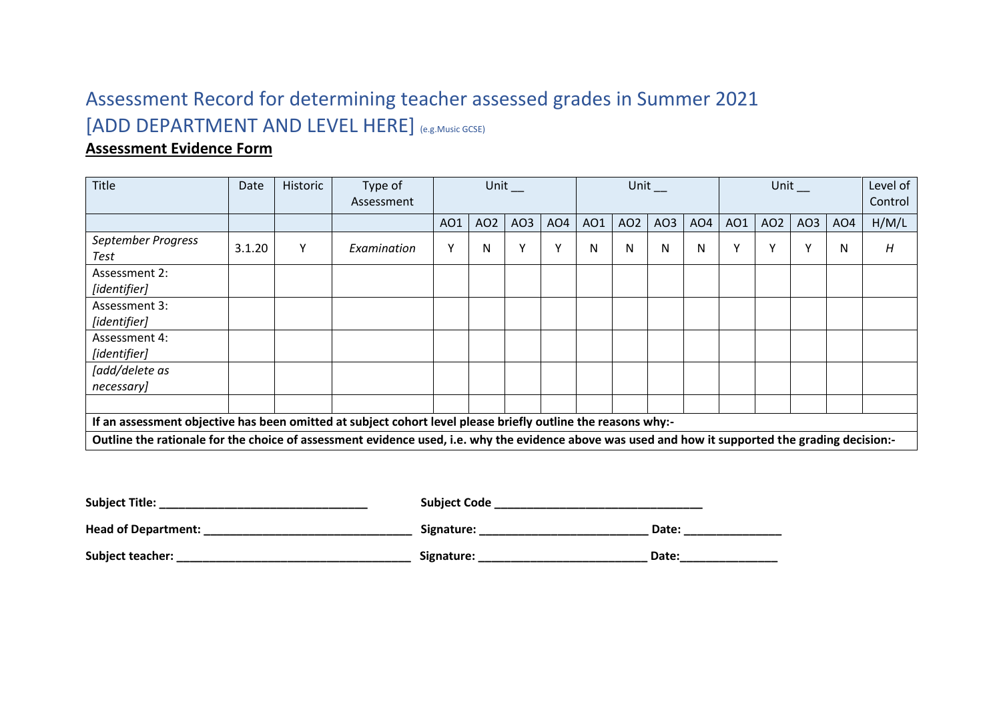## Assessment Record for determining teacher assessed grades in Summer 2021 [ADD DEPARTMENT AND LEVEL HERE] (e.g.Music GCSE)

#### **Assessment Evidence Form**

| Title                                                                                                                                              | Date   | Historic | Type of<br>Assessment |     |     | Unit |                 |     | Unit            |                 |                 |     | Unit            |                 |                 | Level of<br>Control |
|----------------------------------------------------------------------------------------------------------------------------------------------------|--------|----------|-----------------------|-----|-----|------|-----------------|-----|-----------------|-----------------|-----------------|-----|-----------------|-----------------|-----------------|---------------------|
|                                                                                                                                                    |        |          |                       | AO1 | AO2 | AO3  | AO <sub>4</sub> | AO1 | AO <sub>2</sub> | AO <sub>3</sub> | AO <sub>4</sub> | AO1 | AO <sub>2</sub> | AO <sub>3</sub> | AO <sub>4</sub> | H/M/L               |
| September Progress<br>Test                                                                                                                         | 3.1.20 | Υ        | Examination           |     | Ν   | Y    | Y               | N   | N               | N               | N               | Y   | $\checkmark$    | Y               | N               | H                   |
| Assessment 2:<br>[identifier]                                                                                                                      |        |          |                       |     |     |      |                 |     |                 |                 |                 |     |                 |                 |                 |                     |
| Assessment 3:<br>[identifier]                                                                                                                      |        |          |                       |     |     |      |                 |     |                 |                 |                 |     |                 |                 |                 |                     |
| Assessment 4:<br>[identifier]                                                                                                                      |        |          |                       |     |     |      |                 |     |                 |                 |                 |     |                 |                 |                 |                     |
| [add/delete as<br>necessary]                                                                                                                       |        |          |                       |     |     |      |                 |     |                 |                 |                 |     |                 |                 |                 |                     |
|                                                                                                                                                    |        |          |                       |     |     |      |                 |     |                 |                 |                 |     |                 |                 |                 |                     |
| If an assessment objective has been omitted at subject cohort level please briefly outline the reasons why:-                                       |        |          |                       |     |     |      |                 |     |                 |                 |                 |     |                 |                 |                 |                     |
| Outline the rationale for the choice of assessment evidence used, i.e. why the evidence above was used and how it supported the grading decision:- |        |          |                       |     |     |      |                 |     |                 |                 |                 |     |                 |                 |                 |                     |

| <b>Subject Title:</b> | <b>Subject Code</b> |       |
|-----------------------|---------------------|-------|
| Head of Department:   | Signature:          | Date: |
| Subject teacher:      | Signature:          | Date: |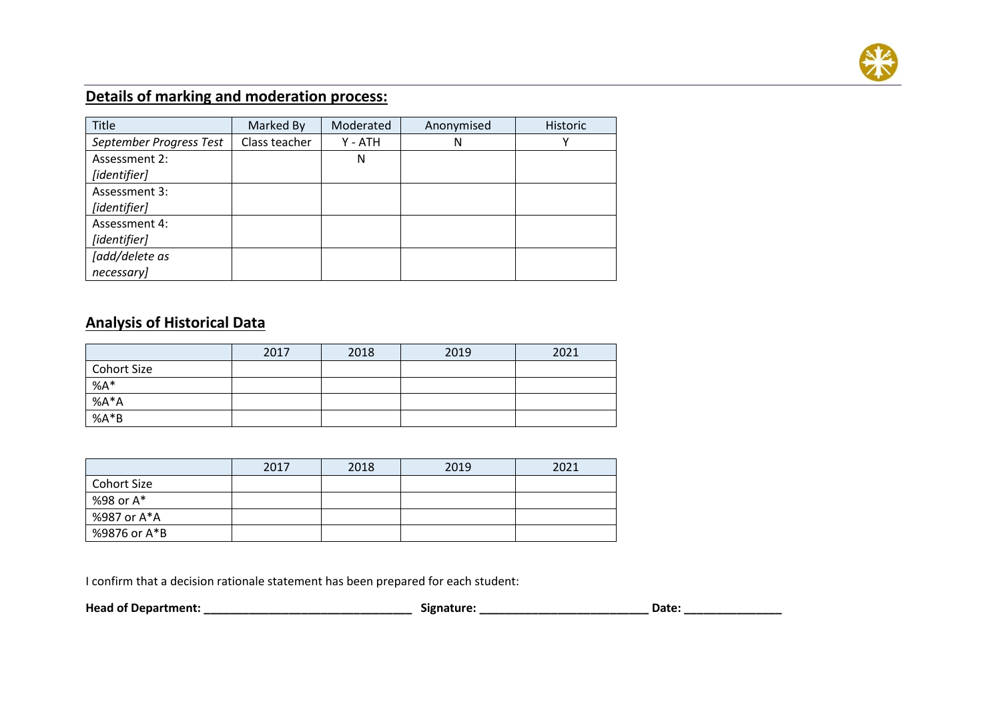

### **Details of marking and moderation process:**

| Title                   | Marked By     | Moderated | Anonymised | Historic |
|-------------------------|---------------|-----------|------------|----------|
| September Progress Test | Class teacher | Y - ATH   | N          |          |
| Assessment 2:           |               | N         |            |          |
| [identifier]            |               |           |            |          |
| Assessment 3:           |               |           |            |          |
| [identifier]            |               |           |            |          |
| Assessment 4:           |               |           |            |          |
| [identifier]            |               |           |            |          |
| [add/delete as          |               |           |            |          |
| necessary]              |               |           |            |          |

#### **Analysis of Historical Data**

|                    | 2017 | 2018 | 2019 | 2021 |
|--------------------|------|------|------|------|
| <b>Cohort Size</b> |      |      |      |      |
| $%A*$              |      |      |      |      |
| % $A^*A$           |      |      |      |      |
| $%A*B$             |      |      |      |      |

|                    | 2017 | 2018 | 2019 | 2021 |
|--------------------|------|------|------|------|
| <b>Cohort Size</b> |      |      |      |      |
| %98 or A*          |      |      |      |      |
| %987 or A*A        |      |      |      |      |
| %9876 or A*B       |      |      |      |      |

I confirm that a decision rationale statement has been prepared for each student:

| <b>Head of Department:</b> |  | Signature: | Date |
|----------------------------|--|------------|------|
|----------------------------|--|------------|------|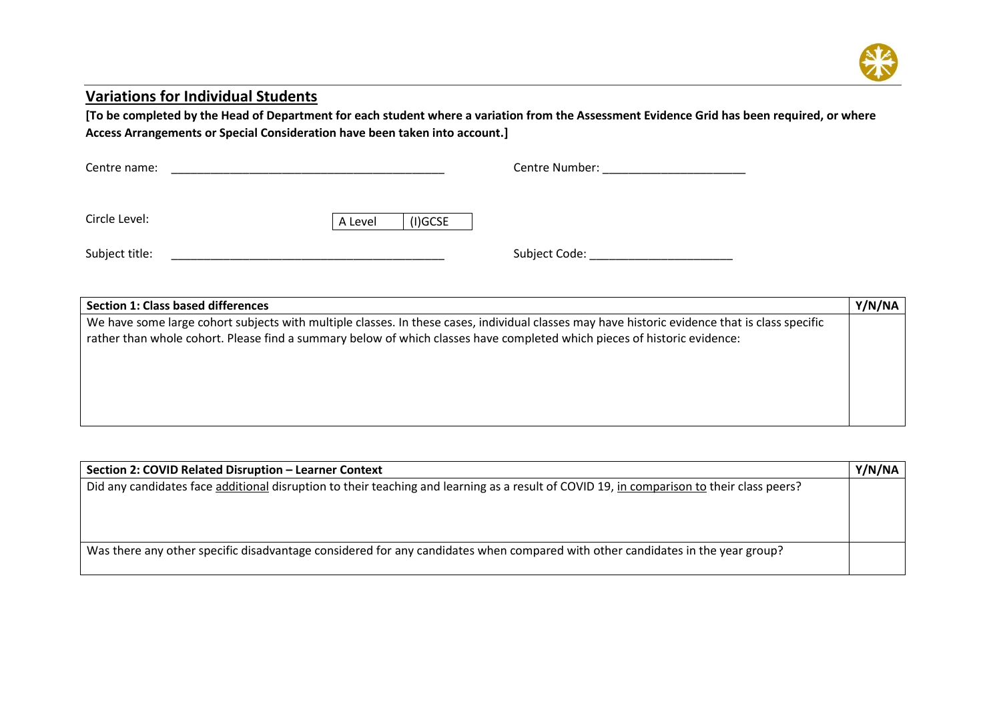

#### **Variations for Individual Students**

**[To be completed by the Head of Department for each student where a variation from the Assessment Evidence Grid has been required, or where Access Arrangements or Special Consideration have been taken into account.]** 

| Centre name:   |         |            | Centre Number: |
|----------------|---------|------------|----------------|
|                |         |            |                |
| Circle Level:  | A Level | $(I)$ GCSE |                |
| Subject title: |         |            | Subject Code:  |

| <b>Section 1: Class based differences</b>                                                                                                                                                                                                                                  | Y/N/NA |
|----------------------------------------------------------------------------------------------------------------------------------------------------------------------------------------------------------------------------------------------------------------------------|--------|
| We have some large cohort subjects with multiple classes. In these cases, individual classes may have historic evidence that is class specific<br>rather than whole cohort. Please find a summary below of which classes have completed which pieces of historic evidence: |        |
|                                                                                                                                                                                                                                                                            |        |

| Section 2: COVID Related Disruption - Learner Context                                                                                     | Y/N/NA |
|-------------------------------------------------------------------------------------------------------------------------------------------|--------|
| Did any candidates face additional disruption to their teaching and learning as a result of COVID 19, in comparison to their class peers? |        |
|                                                                                                                                           |        |
|                                                                                                                                           |        |
|                                                                                                                                           |        |
| Was there any other specific disadvantage considered for any candidates when compared with other candidates in the year group?            |        |
|                                                                                                                                           |        |
|                                                                                                                                           |        |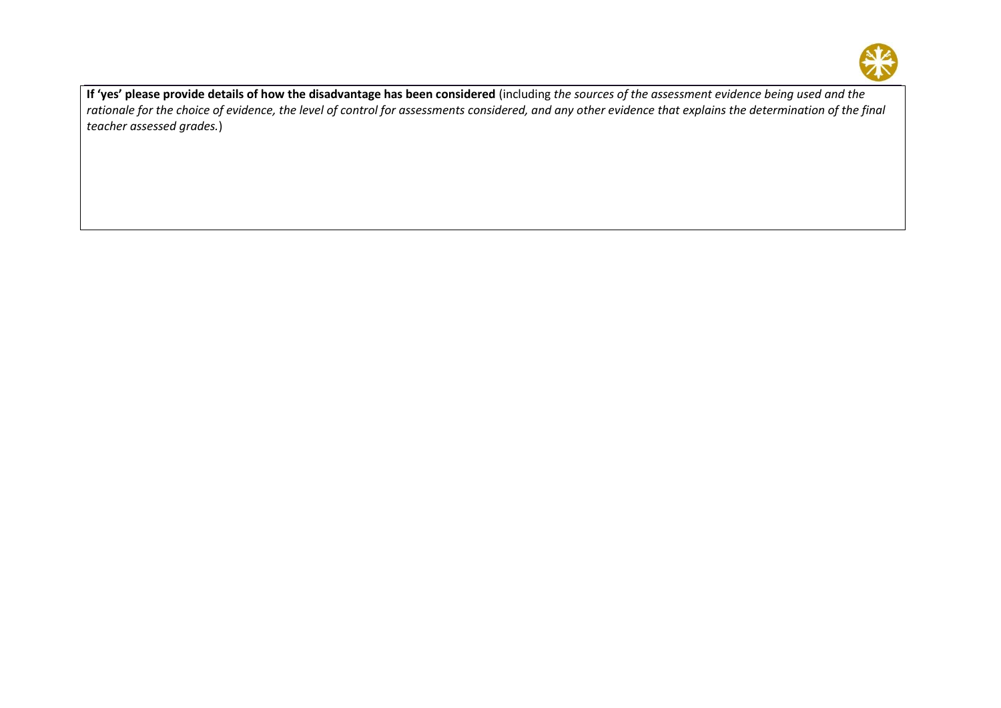

**If 'yes' please provide details of how the disadvantage has been considered** (including *the sources of the assessment evidence being used and the rationale for the choice of evidence, the level of control for assessments considered, and any other evidence that explains the determination of the final teacher assessed grades.*)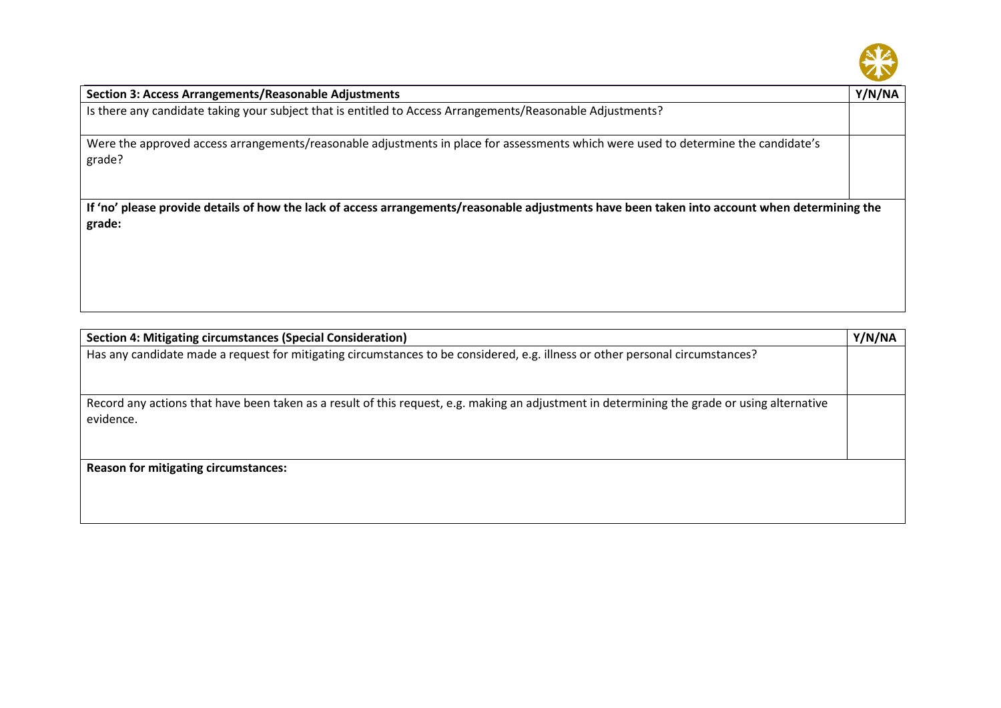

| <b>Section 3: Access Arrangements/Reasonable Adjustments</b>                                                                                             | Y/N/NA |
|----------------------------------------------------------------------------------------------------------------------------------------------------------|--------|
| Is there any candidate taking your subject that is entitled to Access Arrangements/Reasonable Adjustments?                                               |        |
| Were the approved access arrangements/reasonable adjustments in place for assessments which were used to determine the candidate's<br>grade?             |        |
| If 'no' please provide details of how the lack of access arrangements/reasonable adjustments have been taken into account when determining the<br>grade: |        |
|                                                                                                                                                          |        |

| Section 4: Mitigating circumstances (Special Consideration)                                                                                               | Y/N/NA |
|-----------------------------------------------------------------------------------------------------------------------------------------------------------|--------|
| Has any candidate made a request for mitigating circumstances to be considered, e.g. illness or other personal circumstances?                             |        |
| Record any actions that have been taken as a result of this request, e.g. making an adjustment in determining the grade or using alternative<br>evidence. |        |
| <b>Reason for mitigating circumstances:</b>                                                                                                               |        |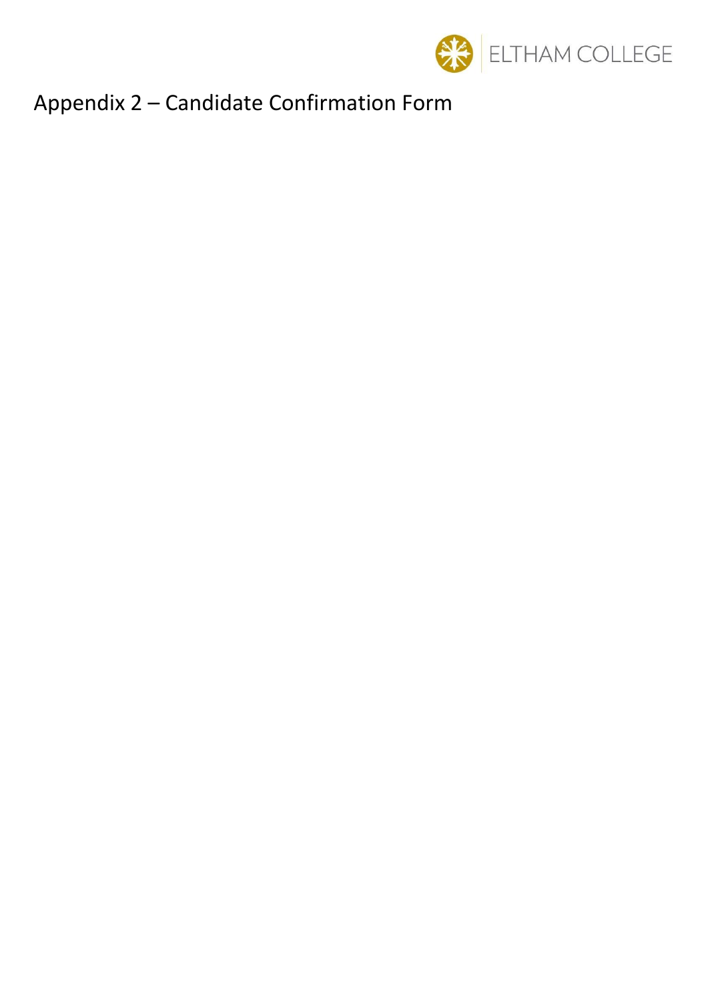

# Appendix 2 – Candidate Confirmation Form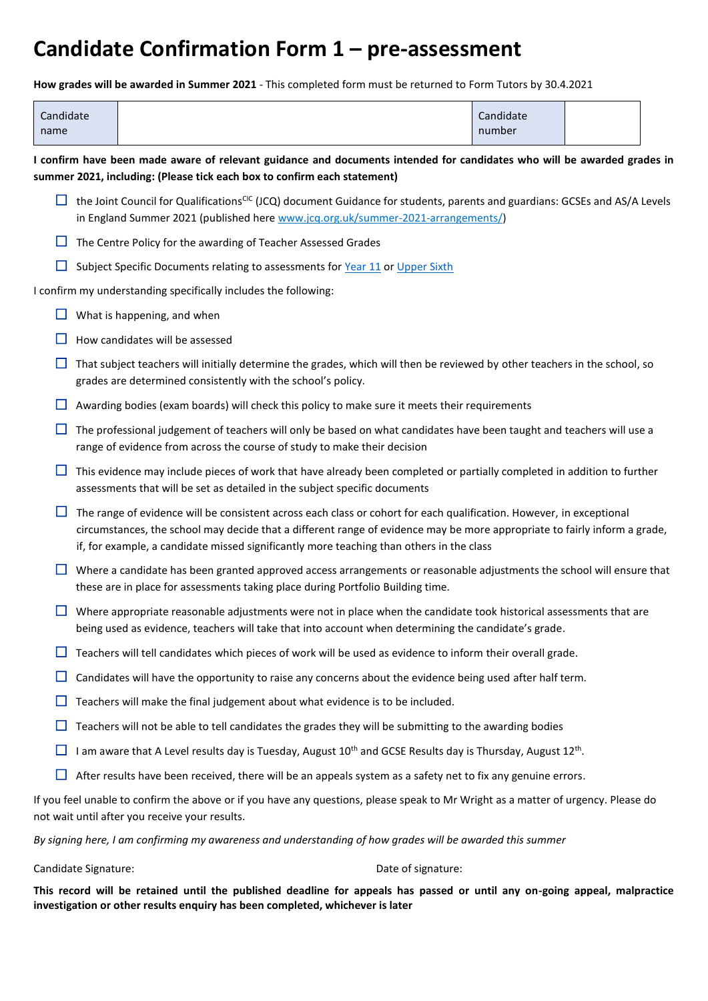# **Candidate Confirmation Form 1 – pre-assessment**

**How grades will be awarded in Summer 2021** - This completed form must be returned to Form Tutors by 30.4.2021

| Candidate<br>name                                                                                                                                                                                   |                                                                                                                                                                                                                            |                                                                                                                                                                                                                                                                                                                                               | Candidate<br>number |  |  |
|-----------------------------------------------------------------------------------------------------------------------------------------------------------------------------------------------------|----------------------------------------------------------------------------------------------------------------------------------------------------------------------------------------------------------------------------|-----------------------------------------------------------------------------------------------------------------------------------------------------------------------------------------------------------------------------------------------------------------------------------------------------------------------------------------------|---------------------|--|--|
| I confirm have been made aware of relevant guidance and documents intended for candidates who will be awarded grades in<br>summer 2021, including: (Please tick each box to confirm each statement) |                                                                                                                                                                                                                            |                                                                                                                                                                                                                                                                                                                                               |                     |  |  |
|                                                                                                                                                                                                     | the Joint Council for Qualifications <sup>CIC</sup> (JCQ) document Guidance for students, parents and guardians: GCSEs and AS/A Levels<br>in England Summer 2021 (published here www.jcg.org.uk/summer-2021-arrangements/) |                                                                                                                                                                                                                                                                                                                                               |                     |  |  |
|                                                                                                                                                                                                     | The Centre Policy for the awarding of Teacher Assessed Grades                                                                                                                                                              |                                                                                                                                                                                                                                                                                                                                               |                     |  |  |
| ப                                                                                                                                                                                                   |                                                                                                                                                                                                                            | Subject Specific Documents relating to assessments for Year 11 or Upper Sixth                                                                                                                                                                                                                                                                 |                     |  |  |
|                                                                                                                                                                                                     |                                                                                                                                                                                                                            | I confirm my understanding specifically includes the following:                                                                                                                                                                                                                                                                               |                     |  |  |
|                                                                                                                                                                                                     |                                                                                                                                                                                                                            | What is happening, and when                                                                                                                                                                                                                                                                                                                   |                     |  |  |
|                                                                                                                                                                                                     |                                                                                                                                                                                                                            | How candidates will be assessed                                                                                                                                                                                                                                                                                                               |                     |  |  |
|                                                                                                                                                                                                     |                                                                                                                                                                                                                            | That subject teachers will initially determine the grades, which will then be reviewed by other teachers in the school, so<br>grades are determined consistently with the school's policy.                                                                                                                                                    |                     |  |  |
|                                                                                                                                                                                                     |                                                                                                                                                                                                                            | Awarding bodies (exam boards) will check this policy to make sure it meets their requirements                                                                                                                                                                                                                                                 |                     |  |  |
| ப                                                                                                                                                                                                   |                                                                                                                                                                                                                            | The professional judgement of teachers will only be based on what candidates have been taught and teachers will use a<br>range of evidence from across the course of study to make their decision                                                                                                                                             |                     |  |  |
|                                                                                                                                                                                                     |                                                                                                                                                                                                                            | This evidence may include pieces of work that have already been completed or partially completed in addition to further<br>assessments that will be set as detailed in the subject specific documents                                                                                                                                         |                     |  |  |
|                                                                                                                                                                                                     |                                                                                                                                                                                                                            | The range of evidence will be consistent across each class or cohort for each qualification. However, in exceptional<br>circumstances, the school may decide that a different range of evidence may be more appropriate to fairly inform a grade,<br>if, for example, a candidate missed significantly more teaching than others in the class |                     |  |  |
|                                                                                                                                                                                                     |                                                                                                                                                                                                                            | Where a candidate has been granted approved access arrangements or reasonable adjustments the school will ensure that<br>these are in place for assessments taking place during Portfolio Building time.                                                                                                                                      |                     |  |  |
|                                                                                                                                                                                                     |                                                                                                                                                                                                                            | Where appropriate reasonable adjustments were not in place when the candidate took historical assessments that are<br>being used as evidence, teachers will take that into account when determining the candidate's grade.                                                                                                                    |                     |  |  |
|                                                                                                                                                                                                     |                                                                                                                                                                                                                            | Teachers will tell candidates which pieces of work will be used as evidence to inform their overall grade.                                                                                                                                                                                                                                    |                     |  |  |
|                                                                                                                                                                                                     |                                                                                                                                                                                                                            | Candidates will have the opportunity to raise any concerns about the evidence being used after half term.                                                                                                                                                                                                                                     |                     |  |  |
|                                                                                                                                                                                                     |                                                                                                                                                                                                                            | Teachers will make the final judgement about what evidence is to be included.                                                                                                                                                                                                                                                                 |                     |  |  |
| ப                                                                                                                                                                                                   |                                                                                                                                                                                                                            | Teachers will not be able to tell candidates the grades they will be submitting to the awarding bodies                                                                                                                                                                                                                                        |                     |  |  |
| ப                                                                                                                                                                                                   |                                                                                                                                                                                                                            | I am aware that A Level results day is Tuesday, August 10 <sup>th</sup> and GCSE Results day is Thursday, August 12 <sup>th</sup> .                                                                                                                                                                                                           |                     |  |  |
|                                                                                                                                                                                                     |                                                                                                                                                                                                                            | After results have been received, there will be an appeals system as a safety net to fix any genuine errors.                                                                                                                                                                                                                                  |                     |  |  |
|                                                                                                                                                                                                     |                                                                                                                                                                                                                            | If you feel unable to confirm the above or if you have any questions, please speak to Mr Wright as a matter of urgency. Please do                                                                                                                                                                                                             |                     |  |  |

not wait until after you receive your results.

*By signing here, I am confirming my awareness and understanding of how grades will be awarded this summer*

#### Candidate Signature: Date of signature:

**This record will be retained until the published deadline for appeals has passed or until any on-going appeal, malpractice investigation or other results enquiry has been completed, whichever is later**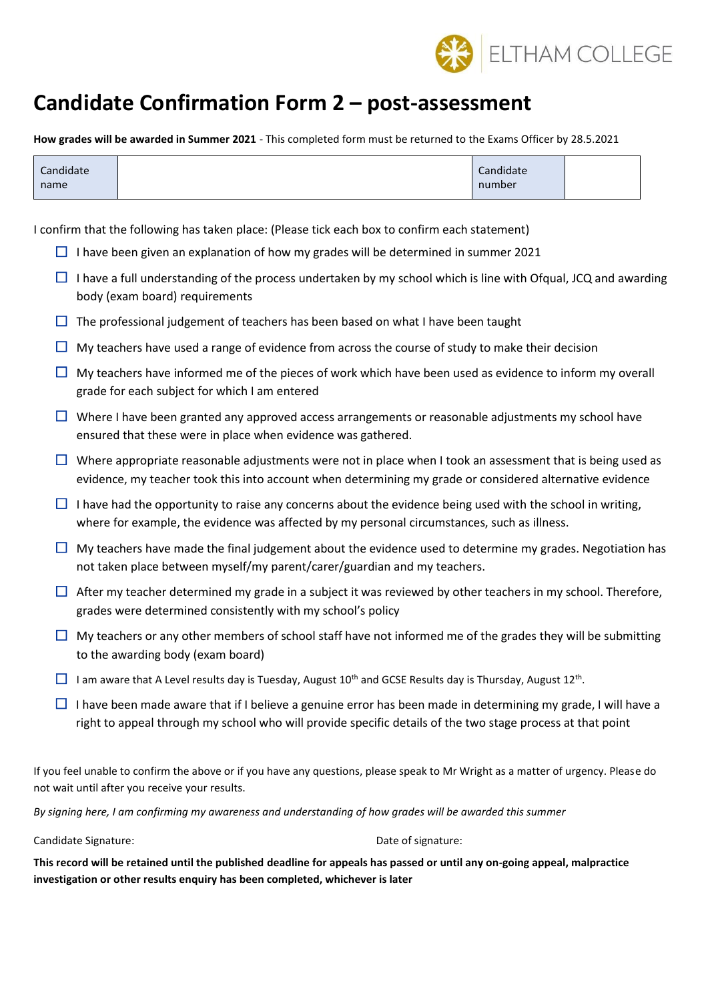

# **Candidate Confirmation Form 2 – post-assessment**

**How grades will be awarded in Summer 2021** - This completed form must be returned to the Exams Officer by 28.5.2021

| Candidate | Candidate |  |
|-----------|-----------|--|
| name      | number    |  |

I confirm that the following has taken place: (Please tick each box to confirm each statement)

- $\Box$  I have been given an explanation of how my grades will be determined in summer 2021
- $\Box$  I have a full understanding of the process undertaken by my school which is line with Ofqual, JCQ and awarding body (exam board) requirements
- $\Box$  The professional judgement of teachers has been based on what I have been taught
- $\Box$  My teachers have used a range of evidence from across the course of study to make their decision
- $\Box$  My teachers have informed me of the pieces of work which have been used as evidence to inform my overall grade for each subject for which I am entered
- $\Box$  Where I have been granted any approved access arrangements or reasonable adjustments my school have ensured that these were in place when evidence was gathered.
- $\Box$  Where appropriate reasonable adjustments were not in place when I took an assessment that is being used as evidence, my teacher took this into account when determining my grade or considered alternative evidence
- $\Box$  I have had the opportunity to raise any concerns about the evidence being used with the school in writing, where for example, the evidence was affected by my personal circumstances, such as illness.
- $\Box$  My teachers have made the final judgement about the evidence used to determine my grades. Negotiation has not taken place between myself/my parent/carer/guardian and my teachers.
- $\Box$  After my teacher determined my grade in a subject it was reviewed by other teachers in my school. Therefore, grades were determined consistently with my school's policy
- $\Box$  My teachers or any other members of school staff have not informed me of the grades they will be submitting to the awarding body (exam board)
- $\Box$  I am aware that A Level results day is Tuesday, August 10<sup>th</sup> and GCSE Results day is Thursday, August 12<sup>th</sup>.
- $\Box$  I have been made aware that if I believe a genuine error has been made in determining my grade, I will have a right to appeal through my school who will provide specific details of the two stage process at that point

If you feel unable to confirm the above or if you have any questions, please speak to Mr Wright as a matter of urgency. Please do not wait until after you receive your results.

*By signing here, I am confirming my awareness and understanding of how grades will be awarded this summer*

Candidate Signature: Date of signature:

**This record will be retained until the published deadline for appeals has passed or until any on-going appeal, malpractice investigation or other results enquiry has been completed, whichever is later**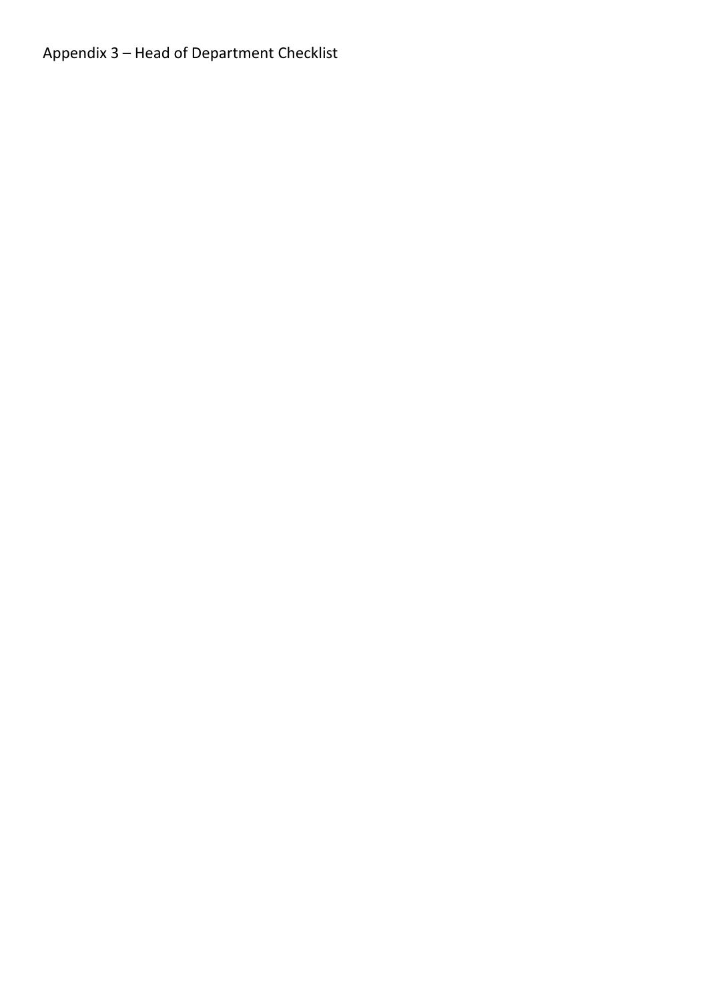Appendix 3 – Head of Department Checklist